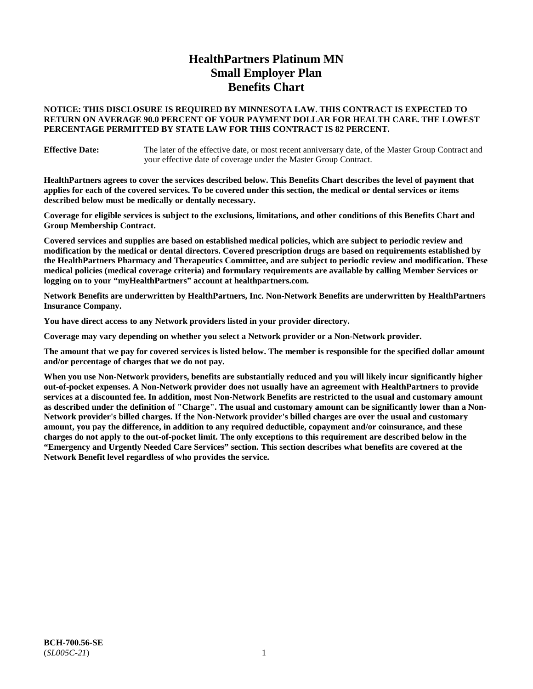# **HealthPartners Platinum MN Small Employer Plan Benefits Chart**

## **NOTICE: THIS DISCLOSURE IS REQUIRED BY MINNESOTA LAW. THIS CONTRACT IS EXPECTED TO RETURN ON AVERAGE 90.0 PERCENT OF YOUR PAYMENT DOLLAR FOR HEALTH CARE. THE LOWEST PERCENTAGE PERMITTED BY STATE LAW FOR THIS CONTRACT IS 82 PERCENT.**

**Effective Date:** The later of the effective date, or most recent anniversary date, of the Master Group Contract and your effective date of coverage under the Master Group Contract.

**HealthPartners agrees to cover the services described below. This Benefits Chart describes the level of payment that applies for each of the covered services. To be covered under this section, the medical or dental services or items described below must be medically or dentally necessary.**

**Coverage for eligible services is subject to the exclusions, limitations, and other conditions of this Benefits Chart and Group Membership Contract.**

**Covered services and supplies are based on established medical policies, which are subject to periodic review and modification by the medical or dental directors. Covered prescription drugs are based on requirements established by the HealthPartners Pharmacy and Therapeutics Committee, and are subject to periodic review and modification. These medical policies (medical coverage criteria) and formulary requirements are available by calling Member Services or logging on to your "myHealthPartners" account at [healthpartners.com.](https://www.healthpartners.com/hp/index.html)**

**Network Benefits are underwritten by HealthPartners, Inc. Non-Network Benefits are underwritten by HealthPartners Insurance Company.** 

**You have direct access to any Network providers listed in your provider directory.**

**Coverage may vary depending on whether you select a Network provider or a Non-Network provider.**

**The amount that we pay for covered services is listed below. The member is responsible for the specified dollar amount and/or percentage of charges that we do not pay.**

**When you use Non-Network providers, benefits are substantially reduced and you will likely incur significantly higher out-of-pocket expenses. A Non-Network provider does not usually have an agreement with HealthPartners to provide services at a discounted fee. In addition, most Non-Network Benefits are restricted to the usual and customary amount as described under the definition of "Charge". The usual and customary amount can be significantly lower than a Non-Network provider's billed charges. If the Non-Network provider's billed charges are over the usual and customary amount, you pay the difference, in addition to any required deductible, copayment and/or coinsurance, and these charges do not apply to the out-of-pocket limit. The only exceptions to this requirement are described below in the "Emergency and Urgently Needed Care Services" section. This section describes what benefits are covered at the Network Benefit level regardless of who provides the service.**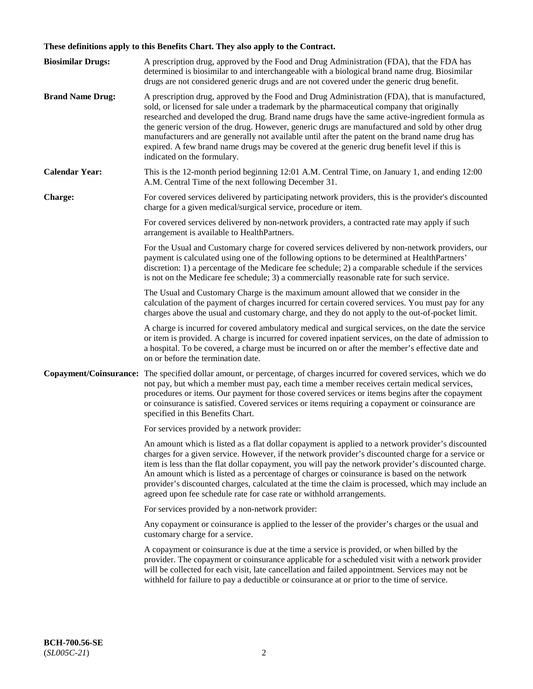# **These definitions apply to this Benefits Chart. They also apply to the Contract.**

| <b>Biosimilar Drugs:</b> | A prescription drug, approved by the Food and Drug Administration (FDA), that the FDA has<br>determined is biosimilar to and interchangeable with a biological brand name drug. Biosimilar<br>drugs are not considered generic drugs and are not covered under the generic drug benefit.                                                                                                                                                                                                                                                                                                                                           |
|--------------------------|------------------------------------------------------------------------------------------------------------------------------------------------------------------------------------------------------------------------------------------------------------------------------------------------------------------------------------------------------------------------------------------------------------------------------------------------------------------------------------------------------------------------------------------------------------------------------------------------------------------------------------|
| <b>Brand Name Drug:</b>  | A prescription drug, approved by the Food and Drug Administration (FDA), that is manufactured,<br>sold, or licensed for sale under a trademark by the pharmaceutical company that originally<br>researched and developed the drug. Brand name drugs have the same active-ingredient formula as<br>the generic version of the drug. However, generic drugs are manufactured and sold by other drug<br>manufacturers and are generally not available until after the patent on the brand name drug has<br>expired. A few brand name drugs may be covered at the generic drug benefit level if this is<br>indicated on the formulary. |
| <b>Calendar Year:</b>    | This is the 12-month period beginning 12:01 A.M. Central Time, on January 1, and ending 12:00<br>A.M. Central Time of the next following December 31.                                                                                                                                                                                                                                                                                                                                                                                                                                                                              |
| <b>Charge:</b>           | For covered services delivered by participating network providers, this is the provider's discounted<br>charge for a given medical/surgical service, procedure or item.                                                                                                                                                                                                                                                                                                                                                                                                                                                            |
|                          | For covered services delivered by non-network providers, a contracted rate may apply if such<br>arrangement is available to HealthPartners.                                                                                                                                                                                                                                                                                                                                                                                                                                                                                        |
|                          | For the Usual and Customary charge for covered services delivered by non-network providers, our<br>payment is calculated using one of the following options to be determined at HealthPartners'<br>discretion: 1) a percentage of the Medicare fee schedule; 2) a comparable schedule if the services<br>is not on the Medicare fee schedule; 3) a commercially reasonable rate for such service.                                                                                                                                                                                                                                  |
|                          | The Usual and Customary Charge is the maximum amount allowed that we consider in the<br>calculation of the payment of charges incurred for certain covered services. You must pay for any<br>charges above the usual and customary charge, and they do not apply to the out-of-pocket limit.                                                                                                                                                                                                                                                                                                                                       |
|                          | A charge is incurred for covered ambulatory medical and surgical services, on the date the service<br>or item is provided. A charge is incurred for covered inpatient services, on the date of admission to<br>a hospital. To be covered, a charge must be incurred on or after the member's effective date and<br>on or before the termination date.                                                                                                                                                                                                                                                                              |
| Copayment/Coinsurance:   | The specified dollar amount, or percentage, of charges incurred for covered services, which we do<br>not pay, but which a member must pay, each time a member receives certain medical services,<br>procedures or items. Our payment for those covered services or items begins after the copayment<br>or coinsurance is satisfied. Covered services or items requiring a copayment or coinsurance are<br>specified in this Benefits Chart.                                                                                                                                                                                        |
|                          | For services provided by a network provider:                                                                                                                                                                                                                                                                                                                                                                                                                                                                                                                                                                                       |
|                          | An amount which is listed as a flat dollar copayment is applied to a network provider's discounted<br>charges for a given service. However, if the network provider's discounted charge for a service or<br>item is less than the flat dollar copayment, you will pay the network provider's discounted charge.<br>An amount which is listed as a percentage of charges or coinsurance is based on the network<br>provider's discounted charges, calculated at the time the claim is processed, which may include an<br>agreed upon fee schedule rate for case rate or withhold arrangements.                                      |
|                          | For services provided by a non-network provider:                                                                                                                                                                                                                                                                                                                                                                                                                                                                                                                                                                                   |
|                          | Any copayment or coinsurance is applied to the lesser of the provider's charges or the usual and<br>customary charge for a service.                                                                                                                                                                                                                                                                                                                                                                                                                                                                                                |
|                          | A copayment or coinsurance is due at the time a service is provided, or when billed by the<br>provider. The copayment or coinsurance applicable for a scheduled visit with a network provider<br>will be collected for each visit, late cancellation and failed appointment. Services may not be<br>withheld for failure to pay a deductible or coinsurance at or prior to the time of service.                                                                                                                                                                                                                                    |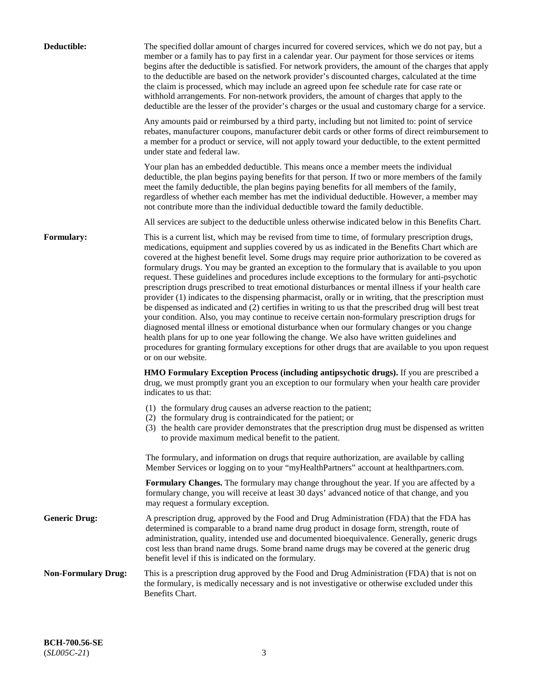| Deductible:                | The specified dollar amount of charges incurred for covered services, which we do not pay, but a<br>member or a family has to pay first in a calendar year. Our payment for those services or items<br>begins after the deductible is satisfied. For network providers, the amount of the charges that apply<br>to the deductible are based on the network provider's discounted charges, calculated at the time<br>the claim is processed, which may include an agreed upon fee schedule rate for case rate or<br>withhold arrangements. For non-network providers, the amount of charges that apply to the<br>deductible are the lesser of the provider's charges or the usual and customary charge for a service.                                                                                                                                                                                                                                                                                                                                                                                                                                                                                                                                             |
|----------------------------|------------------------------------------------------------------------------------------------------------------------------------------------------------------------------------------------------------------------------------------------------------------------------------------------------------------------------------------------------------------------------------------------------------------------------------------------------------------------------------------------------------------------------------------------------------------------------------------------------------------------------------------------------------------------------------------------------------------------------------------------------------------------------------------------------------------------------------------------------------------------------------------------------------------------------------------------------------------------------------------------------------------------------------------------------------------------------------------------------------------------------------------------------------------------------------------------------------------------------------------------------------------|
|                            | Any amounts paid or reimbursed by a third party, including but not limited to: point of service<br>rebates, manufacturer coupons, manufacturer debit cards or other forms of direct reimbursement to<br>a member for a product or service, will not apply toward your deductible, to the extent permitted<br>under state and federal law.                                                                                                                                                                                                                                                                                                                                                                                                                                                                                                                                                                                                                                                                                                                                                                                                                                                                                                                        |
|                            | Your plan has an embedded deductible. This means once a member meets the individual<br>deductible, the plan begins paying benefits for that person. If two or more members of the family<br>meet the family deductible, the plan begins paying benefits for all members of the family,<br>regardless of whether each member has met the individual deductible. However, a member may<br>not contribute more than the individual deductible toward the family deductible.                                                                                                                                                                                                                                                                                                                                                                                                                                                                                                                                                                                                                                                                                                                                                                                         |
|                            | All services are subject to the deductible unless otherwise indicated below in this Benefits Chart.                                                                                                                                                                                                                                                                                                                                                                                                                                                                                                                                                                                                                                                                                                                                                                                                                                                                                                                                                                                                                                                                                                                                                              |
| <b>Formulary:</b>          | This is a current list, which may be revised from time to time, of formulary prescription drugs,<br>medications, equipment and supplies covered by us as indicated in the Benefits Chart which are<br>covered at the highest benefit level. Some drugs may require prior authorization to be covered as<br>formulary drugs. You may be granted an exception to the formulary that is available to you upon<br>request. These guidelines and procedures include exceptions to the formulary for anti-psychotic<br>prescription drugs prescribed to treat emotional disturbances or mental illness if your health care<br>provider (1) indicates to the dispensing pharmacist, orally or in writing, that the prescription must<br>be dispensed as indicated and (2) certifies in writing to us that the prescribed drug will best treat<br>your condition. Also, you may continue to receive certain non-formulary prescription drugs for<br>diagnosed mental illness or emotional disturbance when our formulary changes or you change<br>health plans for up to one year following the change. We also have written guidelines and<br>procedures for granting formulary exceptions for other drugs that are available to you upon request<br>or on our website. |
|                            | <b>HMO Formulary Exception Process (including antipsychotic drugs).</b> If you are prescribed a<br>drug, we must promptly grant you an exception to our formulary when your health care provider<br>indicates to us that:                                                                                                                                                                                                                                                                                                                                                                                                                                                                                                                                                                                                                                                                                                                                                                                                                                                                                                                                                                                                                                        |
|                            | (1) the formulary drug causes an adverse reaction to the patient;<br>(2) the formulary drug is contraindicated for the patient; or<br>(3) the health care provider demonstrates that the prescription drug must be dispensed as written<br>to provide maximum medical benefit to the patient.                                                                                                                                                                                                                                                                                                                                                                                                                                                                                                                                                                                                                                                                                                                                                                                                                                                                                                                                                                    |
|                            | The formulary, and information on drugs that require authorization, are available by calling<br>Member Services or logging on to your "myHealthPartners" account at healthpartners.com.                                                                                                                                                                                                                                                                                                                                                                                                                                                                                                                                                                                                                                                                                                                                                                                                                                                                                                                                                                                                                                                                          |
|                            | Formulary Changes. The formulary may change throughout the year. If you are affected by a<br>formulary change, you will receive at least 30 days' advanced notice of that change, and you<br>may request a formulary exception.                                                                                                                                                                                                                                                                                                                                                                                                                                                                                                                                                                                                                                                                                                                                                                                                                                                                                                                                                                                                                                  |
| <b>Generic Drug:</b>       | A prescription drug, approved by the Food and Drug Administration (FDA) that the FDA has<br>determined is comparable to a brand name drug product in dosage form, strength, route of<br>administration, quality, intended use and documented bioequivalence. Generally, generic drugs<br>cost less than brand name drugs. Some brand name drugs may be covered at the generic drug<br>benefit level if this is indicated on the formulary.                                                                                                                                                                                                                                                                                                                                                                                                                                                                                                                                                                                                                                                                                                                                                                                                                       |
| <b>Non-Formulary Drug:</b> | This is a prescription drug approved by the Food and Drug Administration (FDA) that is not on<br>the formulary, is medically necessary and is not investigative or otherwise excluded under this<br>Benefits Chart.                                                                                                                                                                                                                                                                                                                                                                                                                                                                                                                                                                                                                                                                                                                                                                                                                                                                                                                                                                                                                                              |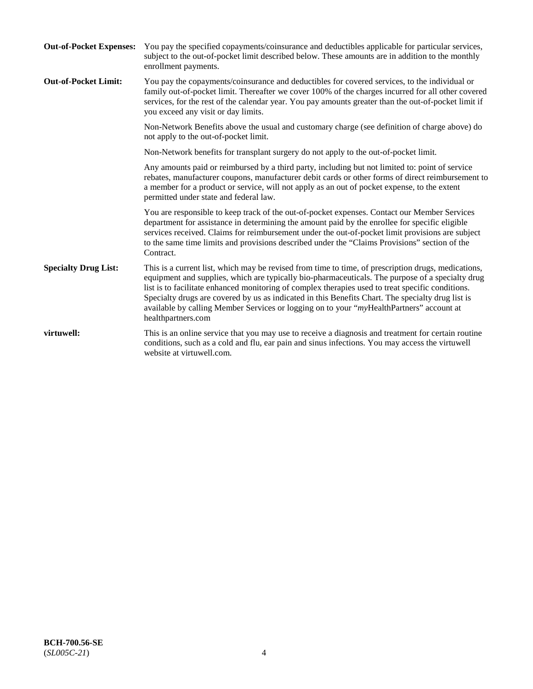| <b>Out-of-Pocket Expenses:</b> | You pay the specified copayments/coinsurance and deductibles applicable for particular services,<br>subject to the out-of-pocket limit described below. These amounts are in addition to the monthly<br>enrollment payments.                                                                                                                                                                                                                                                                                                        |
|--------------------------------|-------------------------------------------------------------------------------------------------------------------------------------------------------------------------------------------------------------------------------------------------------------------------------------------------------------------------------------------------------------------------------------------------------------------------------------------------------------------------------------------------------------------------------------|
| <b>Out-of-Pocket Limit:</b>    | You pay the copayments/coinsurance and deductibles for covered services, to the individual or<br>family out-of-pocket limit. Thereafter we cover 100% of the charges incurred for all other covered<br>services, for the rest of the calendar year. You pay amounts greater than the out-of-pocket limit if<br>you exceed any visit or day limits.                                                                                                                                                                                  |
|                                | Non-Network Benefits above the usual and customary charge (see definition of charge above) do<br>not apply to the out-of-pocket limit.                                                                                                                                                                                                                                                                                                                                                                                              |
|                                | Non-Network benefits for transplant surgery do not apply to the out-of-pocket limit.                                                                                                                                                                                                                                                                                                                                                                                                                                                |
|                                | Any amounts paid or reimbursed by a third party, including but not limited to: point of service<br>rebates, manufacturer coupons, manufacturer debit cards or other forms of direct reimbursement to<br>a member for a product or service, will not apply as an out of pocket expense, to the extent<br>permitted under state and federal law.                                                                                                                                                                                      |
|                                | You are responsible to keep track of the out-of-pocket expenses. Contact our Member Services<br>department for assistance in determining the amount paid by the enrollee for specific eligible<br>services received. Claims for reimbursement under the out-of-pocket limit provisions are subject<br>to the same time limits and provisions described under the "Claims Provisions" section of the<br>Contract.                                                                                                                    |
| <b>Specialty Drug List:</b>    | This is a current list, which may be revised from time to time, of prescription drugs, medications,<br>equipment and supplies, which are typically bio-pharmaceuticals. The purpose of a specialty drug<br>list is to facilitate enhanced monitoring of complex therapies used to treat specific conditions.<br>Specialty drugs are covered by us as indicated in this Benefits Chart. The specialty drug list is<br>available by calling Member Services or logging on to your "myHealthPartners" account at<br>healthpartners.com |
| virtuwell:                     | This is an online service that you may use to receive a diagnosis and treatment for certain routine<br>conditions, such as a cold and flu, ear pain and sinus infections. You may access the virtuwell<br>website at virtuwell.com.                                                                                                                                                                                                                                                                                                 |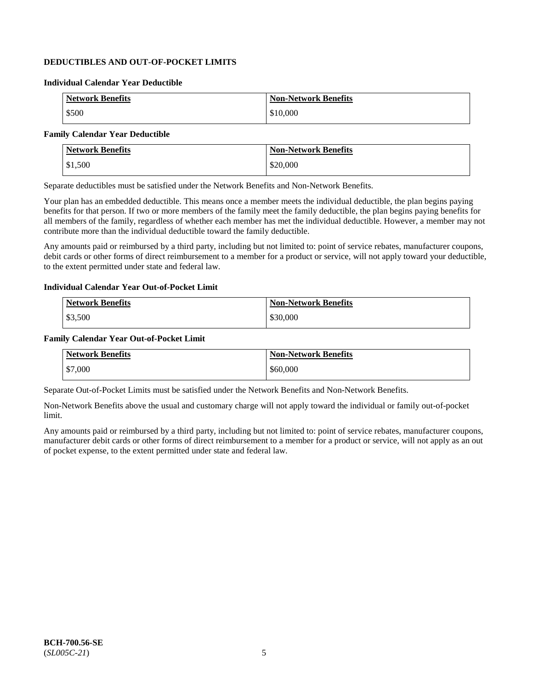## **DEDUCTIBLES AND OUT-OF-POCKET LIMITS**

### **Individual Calendar Year Deductible**

| <b>Network Benefits</b> | <b>Non-Network Benefits</b> |
|-------------------------|-----------------------------|
| \$500                   | \$10,000                    |

## **Family Calendar Year Deductible**

| <b>Network Benefits</b> | <b>Non-Network Benefits</b> |
|-------------------------|-----------------------------|
| \$1,500                 | \$20,000                    |

Separate deductibles must be satisfied under the Network Benefits and Non-Network Benefits.

Your plan has an embedded deductible. This means once a member meets the individual deductible, the plan begins paying benefits for that person. If two or more members of the family meet the family deductible, the plan begins paying benefits for all members of the family, regardless of whether each member has met the individual deductible. However, a member may not contribute more than the individual deductible toward the family deductible.

Any amounts paid or reimbursed by a third party, including but not limited to: point of service rebates, manufacturer coupons, debit cards or other forms of direct reimbursement to a member for a product or service, will not apply toward your deductible, to the extent permitted under state and federal law.

#### **Individual Calendar Year Out-of-Pocket Limit**

| <b>Network Benefits</b> | <b>Non-Network Benefits</b> |
|-------------------------|-----------------------------|
| \$3,500                 | \$30,000                    |

#### **Family Calendar Year Out-of-Pocket Limit**

| <b>Network Benefits</b> | Non-Network Benefits |
|-------------------------|----------------------|
| \$7,000                 | \$60,000             |

Separate Out-of-Pocket Limits must be satisfied under the Network Benefits and Non-Network Benefits.

Non-Network Benefits above the usual and customary charge will not apply toward the individual or family out-of-pocket limit.

Any amounts paid or reimbursed by a third party, including but not limited to: point of service rebates, manufacturer coupons, manufacturer debit cards or other forms of direct reimbursement to a member for a product or service, will not apply as an out of pocket expense, to the extent permitted under state and federal law.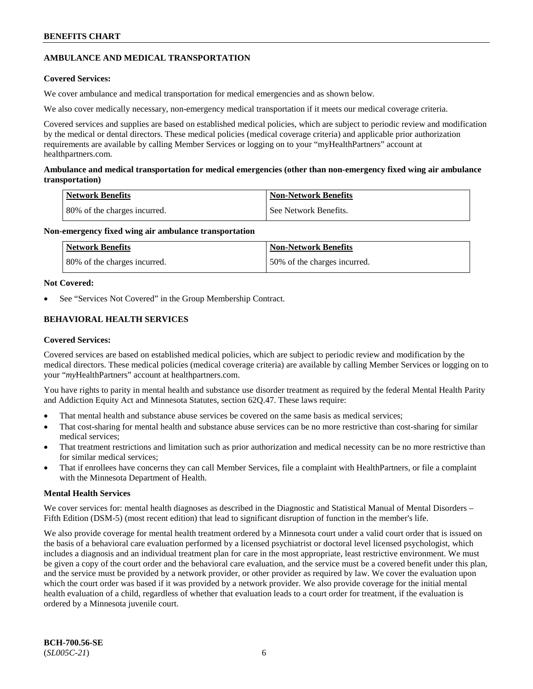## **AMBULANCE AND MEDICAL TRANSPORTATION**

## **Covered Services:**

We cover ambulance and medical transportation for medical emergencies and as shown below.

We also cover medically necessary, non-emergency medical transportation if it meets our medical coverage criteria.

Covered services and supplies are based on established medical policies, which are subject to periodic review and modification by the medical or dental directors. These medical policies (medical coverage criteria) and applicable prior authorization requirements are available by calling Member Services or logging on to your "myHealthPartners" account at [healthpartners.com.](https://www.healthpartners.com/hp/index.html)

## **Ambulance and medical transportation for medical emergencies (other than non-emergency fixed wing air ambulance transportation)**

| Network Benefits              | <b>Non-Network Benefits</b> |
|-------------------------------|-----------------------------|
| 180% of the charges incurred. | See Network Benefits.       |

## **Non-emergency fixed wing air ambulance transportation**

| Network Benefits             | <b>Non-Network Benefits</b>  |
|------------------------------|------------------------------|
| 80% of the charges incurred. | 50% of the charges incurred. |

## **Not Covered:**

See "Services Not Covered" in the Group Membership Contract.

## **BEHAVIORAL HEALTH SERVICES**

## **Covered Services:**

Covered services are based on established medical policies, which are subject to periodic review and modification by the medical directors. These medical policies (medical coverage criteria) are available by calling Member Services or logging on to your "*my*HealthPartners" account at [healthpartners.com.](http://www.healthpartners.com/)

You have rights to parity in mental health and substance use disorder treatment as required by the federal Mental Health Parity and Addiction Equity Act and Minnesota Statutes, section 62Q.47. These laws require:

- That mental health and substance abuse services be covered on the same basis as medical services;
- That cost-sharing for mental health and substance abuse services can be no more restrictive than cost-sharing for similar medical services;
- That treatment restrictions and limitation such as prior authorization and medical necessity can be no more restrictive than for similar medical services;
- That if enrollees have concerns they can call Member Services, file a complaint with HealthPartners, or file a complaint with the Minnesota Department of Health.

## **Mental Health Services**

We cover services for: mental health diagnoses as described in the Diagnostic and Statistical Manual of Mental Disorders – Fifth Edition (DSM-5) (most recent edition) that lead to significant disruption of function in the member's life.

We also provide coverage for mental health treatment ordered by a Minnesota court under a valid court order that is issued on the basis of a behavioral care evaluation performed by a licensed psychiatrist or doctoral level licensed psychologist, which includes a diagnosis and an individual treatment plan for care in the most appropriate, least restrictive environment. We must be given a copy of the court order and the behavioral care evaluation, and the service must be a covered benefit under this plan, and the service must be provided by a network provider, or other provider as required by law. We cover the evaluation upon which the court order was based if it was provided by a network provider. We also provide coverage for the initial mental health evaluation of a child, regardless of whether that evaluation leads to a court order for treatment, if the evaluation is ordered by a Minnesota juvenile court.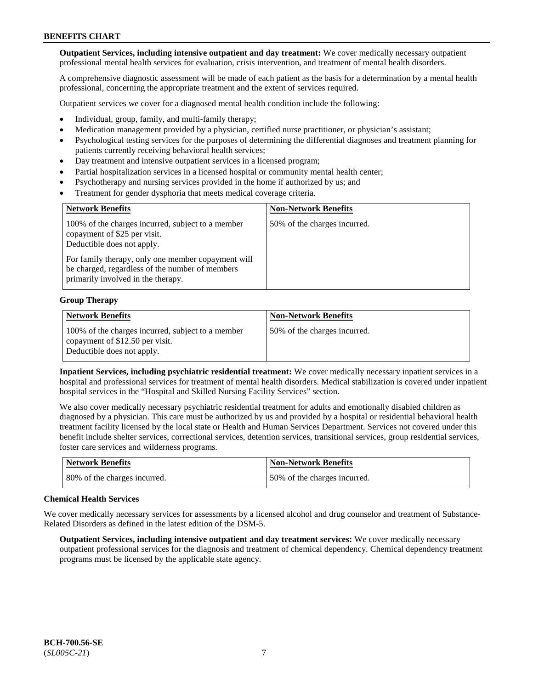**Outpatient Services, including intensive outpatient and day treatment:** We cover medically necessary outpatient professional mental health services for evaluation, crisis intervention, and treatment of mental health disorders.

A comprehensive diagnostic assessment will be made of each patient as the basis for a determination by a mental health professional, concerning the appropriate treatment and the extent of services required.

Outpatient services we cover for a diagnosed mental health condition include the following:

- Individual, group, family, and multi-family therapy;
- Medication management provided by a physician, certified nurse practitioner, or physician's assistant;
- Psychological testing services for the purposes of determining the differential diagnoses and treatment planning for patients currently receiving behavioral health services;
- Day treatment and intensive outpatient services in a licensed program;
- Partial hospitalization services in a licensed hospital or community mental health center;
- Psychotherapy and nursing services provided in the home if authorized by us; and
- Treatment for gender dysphoria that meets medical coverage criteria.

| <b>Network Benefits</b>                                                                                                                     | <b>Non-Network Benefits</b>  |
|---------------------------------------------------------------------------------------------------------------------------------------------|------------------------------|
| 100% of the charges incurred, subject to a member<br>copayment of \$25 per visit.<br>Deductible does not apply.                             | 50% of the charges incurred. |
| For family therapy, only one member copayment will<br>be charged, regardless of the number of members<br>primarily involved in the therapy. |                              |

#### **Group Therapy**

| <b>Network Benefits</b>                                                                                            | <b>Non-Network Benefits</b>  |
|--------------------------------------------------------------------------------------------------------------------|------------------------------|
| 100% of the charges incurred, subject to a member<br>copayment of \$12.50 per visit.<br>Deductible does not apply. | 50% of the charges incurred. |

**Inpatient Services, including psychiatric residential treatment:** We cover medically necessary inpatient services in a hospital and professional services for treatment of mental health disorders. Medical stabilization is covered under inpatient hospital services in the "Hospital and Skilled Nursing Facility Services" section.

We also cover medically necessary psychiatric residential treatment for adults and emotionally disabled children as diagnosed by a physician. This care must be authorized by us and provided by a hospital or residential behavioral health treatment facility licensed by the local state or Health and Human Services Department. Services not covered under this benefit include shelter services, correctional services, detention services, transitional services, group residential services, foster care services and wilderness programs.

| <b>Network Benefits</b>      | <b>Non-Network Benefits</b>  |
|------------------------------|------------------------------|
| 80% of the charges incurred. | 50% of the charges incurred. |

#### **Chemical Health Services**

We cover medically necessary services for assessments by a licensed alcohol and drug counselor and treatment of Substance-Related Disorders as defined in the latest edition of the DSM-5.

**Outpatient Services, including intensive outpatient and day treatment services:** We cover medically necessary outpatient professional services for the diagnosis and treatment of chemical dependency. Chemical dependency treatment programs must be licensed by the applicable state agency.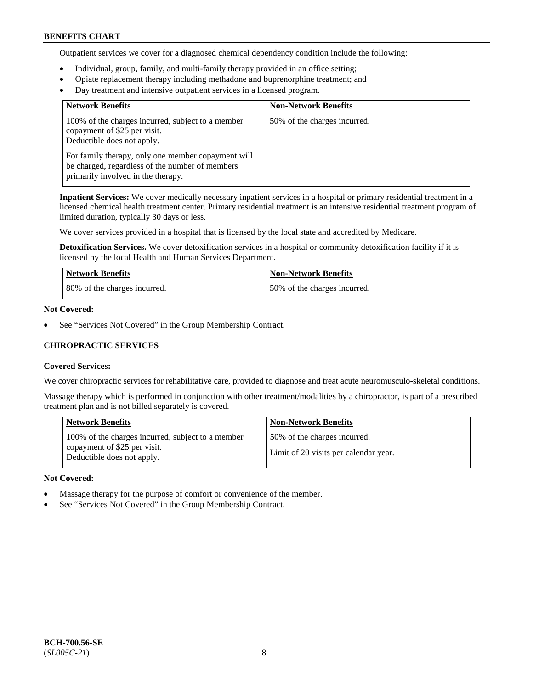Outpatient services we cover for a diagnosed chemical dependency condition include the following:

- Individual, group, family, and multi-family therapy provided in an office setting;
- Opiate replacement therapy including methadone and buprenorphine treatment; and
- Day treatment and intensive outpatient services in a licensed program.

| <b>Network Benefits</b>                                                                                                                     | <b>Non-Network Benefits</b>  |
|---------------------------------------------------------------------------------------------------------------------------------------------|------------------------------|
| 100% of the charges incurred, subject to a member<br>copayment of \$25 per visit.<br>Deductible does not apply.                             | 50% of the charges incurred. |
| For family therapy, only one member copayment will<br>be charged, regardless of the number of members<br>primarily involved in the therapy. |                              |

**Inpatient Services:** We cover medically necessary inpatient services in a hospital or primary residential treatment in a licensed chemical health treatment center. Primary residential treatment is an intensive residential treatment program of limited duration, typically 30 days or less.

We cover services provided in a hospital that is licensed by the local state and accredited by Medicare.

**Detoxification Services.** We cover detoxification services in a hospital or community detoxification facility if it is licensed by the local Health and Human Services Department.

| <b>Network Benefits</b>      | <b>Non-Network Benefits</b>  |
|------------------------------|------------------------------|
| 80% of the charges incurred. | 50% of the charges incurred. |

## **Not Covered:**

See "Services Not Covered" in the Group Membership Contract.

## **CHIROPRACTIC SERVICES**

#### **Covered Services:**

We cover chiropractic services for rehabilitative care, provided to diagnose and treat acute neuromusculo-skeletal conditions.

Massage therapy which is performed in conjunction with other treatment/modalities by a chiropractor, is part of a prescribed treatment plan and is not billed separately is covered.

| <b>Network Benefits</b>                                                                                         | <b>Non-Network Benefits</b>                                           |
|-----------------------------------------------------------------------------------------------------------------|-----------------------------------------------------------------------|
| 100% of the charges incurred, subject to a member<br>copayment of \$25 per visit.<br>Deductible does not apply. | 50% of the charges incurred.<br>Limit of 20 visits per calendar year. |

#### **Not Covered:**

- Massage therapy for the purpose of comfort or convenience of the member.
- See "Services Not Covered" in the Group Membership Contract.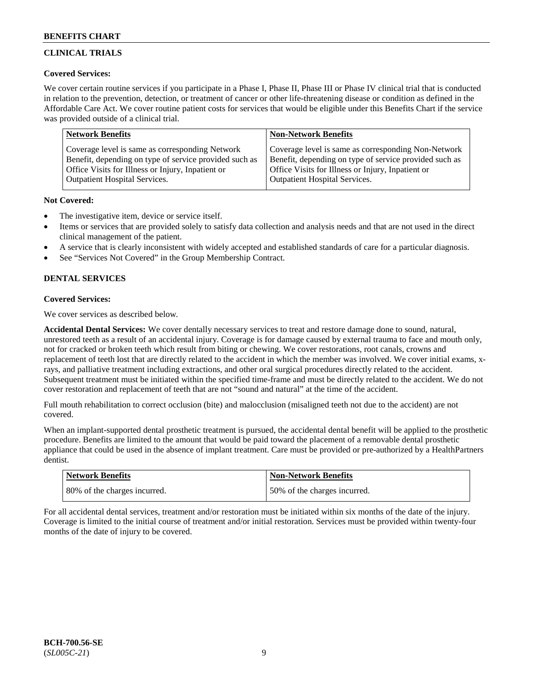## **CLINICAL TRIALS**

## **Covered Services:**

We cover certain routine services if you participate in a Phase I, Phase II, Phase III or Phase IV clinical trial that is conducted in relation to the prevention, detection, or treatment of cancer or other life-threatening disease or condition as defined in the Affordable Care Act. We cover routine patient costs for services that would be eligible under this Benefits Chart if the service was provided outside of a clinical trial.

| <b>Network Benefits</b>                                | <b>Non-Network Benefits</b>                            |
|--------------------------------------------------------|--------------------------------------------------------|
| Coverage level is same as corresponding Network        | Coverage level is same as corresponding Non-Network    |
| Benefit, depending on type of service provided such as | Benefit, depending on type of service provided such as |
| Office Visits for Illness or Injury, Inpatient or      | Office Visits for Illness or Injury, Inpatient or      |
| <b>Outpatient Hospital Services.</b>                   | Outpatient Hospital Services.                          |

## **Not Covered:**

- The investigative item, device or service itself.
- Items or services that are provided solely to satisfy data collection and analysis needs and that are not used in the direct clinical management of the patient.
- A service that is clearly inconsistent with widely accepted and established standards of care for a particular diagnosis.
- See "Services Not Covered" in the Group Membership Contract.

## **DENTAL SERVICES**

## **Covered Services:**

We cover services as described below.

**Accidental Dental Services:** We cover dentally necessary services to treat and restore damage done to sound, natural, unrestored teeth as a result of an accidental injury. Coverage is for damage caused by external trauma to face and mouth only, not for cracked or broken teeth which result from biting or chewing. We cover restorations, root canals, crowns and replacement of teeth lost that are directly related to the accident in which the member was involved. We cover initial exams, xrays, and palliative treatment including extractions, and other oral surgical procedures directly related to the accident. Subsequent treatment must be initiated within the specified time-frame and must be directly related to the accident. We do not cover restoration and replacement of teeth that are not "sound and natural" at the time of the accident.

Full mouth rehabilitation to correct occlusion (bite) and malocclusion (misaligned teeth not due to the accident) are not covered.

When an implant-supported dental prosthetic treatment is pursued, the accidental dental benefit will be applied to the prosthetic procedure. Benefits are limited to the amount that would be paid toward the placement of a removable dental prosthetic appliance that could be used in the absence of implant treatment. Care must be provided or pre-authorized by a HealthPartners dentist.

| <b>Network Benefits</b>      | <b>Non-Network Benefits</b>  |
|------------------------------|------------------------------|
| 80% of the charges incurred. | 50% of the charges incurred. |

For all accidental dental services, treatment and/or restoration must be initiated within six months of the date of the injury. Coverage is limited to the initial course of treatment and/or initial restoration. Services must be provided within twenty-four months of the date of injury to be covered.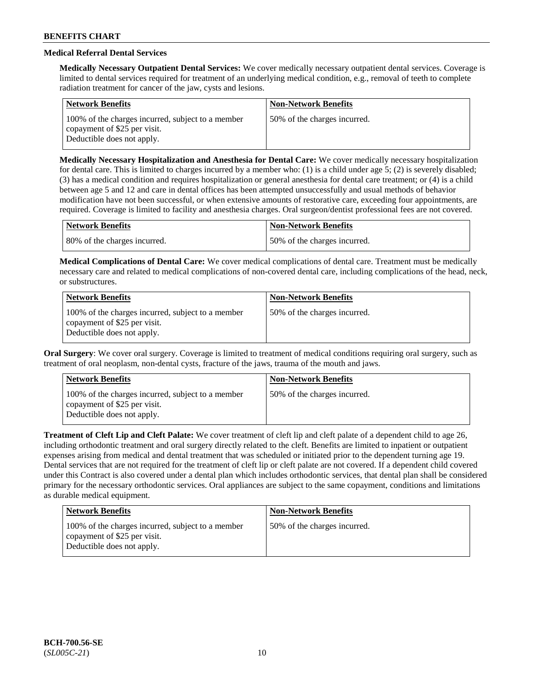## **Medical Referral Dental Services**

**Medically Necessary Outpatient Dental Services:** We cover medically necessary outpatient dental services. Coverage is limited to dental services required for treatment of an underlying medical condition, e.g., removal of teeth to complete radiation treatment for cancer of the jaw, cysts and lesions.

| <b>Network Benefits</b>                                                                                         | <b>Non-Network Benefits</b>  |
|-----------------------------------------------------------------------------------------------------------------|------------------------------|
| 100% of the charges incurred, subject to a member<br>copayment of \$25 per visit.<br>Deductible does not apply. | 50% of the charges incurred. |

**Medically Necessary Hospitalization and Anesthesia for Dental Care:** We cover medically necessary hospitalization for dental care. This is limited to charges incurred by a member who: (1) is a child under age  $5$ ; (2) is severely disabled; (3) has a medical condition and requires hospitalization or general anesthesia for dental care treatment; or (4) is a child between age 5 and 12 and care in dental offices has been attempted unsuccessfully and usual methods of behavior modification have not been successful, or when extensive amounts of restorative care, exceeding four appointments, are required. Coverage is limited to facility and anesthesia charges. Oral surgeon/dentist professional fees are not covered.

| <b>Network Benefits</b>      | Non-Network Benefits         |
|------------------------------|------------------------------|
| 80% of the charges incurred. | 50% of the charges incurred. |

**Medical Complications of Dental Care:** We cover medical complications of dental care. Treatment must be medically necessary care and related to medical complications of non-covered dental care, including complications of the head, neck, or substructures.

| <b>Network Benefits</b>                                                                                         | <b>Non-Network Benefits</b>  |
|-----------------------------------------------------------------------------------------------------------------|------------------------------|
| 100% of the charges incurred, subject to a member<br>copayment of \$25 per visit.<br>Deductible does not apply. | 50% of the charges incurred. |

**Oral Surgery**: We cover oral surgery. Coverage is limited to treatment of medical conditions requiring oral surgery, such as treatment of oral neoplasm, non-dental cysts, fracture of the jaws, trauma of the mouth and jaws.

| <b>Network Benefits</b>                                                                                         | <b>Non-Network Benefits</b>  |
|-----------------------------------------------------------------------------------------------------------------|------------------------------|
| 100% of the charges incurred, subject to a member<br>copayment of \$25 per visit.<br>Deductible does not apply. | 50% of the charges incurred. |

**Treatment of Cleft Lip and Cleft Palate:** We cover treatment of cleft lip and cleft palate of a dependent child to age 26, including orthodontic treatment and oral surgery directly related to the cleft. Benefits are limited to inpatient or outpatient expenses arising from medical and dental treatment that was scheduled or initiated prior to the dependent turning age 19. Dental services that are not required for the treatment of cleft lip or cleft palate are not covered. If a dependent child covered under this Contract is also covered under a dental plan which includes orthodontic services, that dental plan shall be considered primary for the necessary orthodontic services. Oral appliances are subject to the same copayment, conditions and limitations as durable medical equipment.

| <b>Network Benefits</b>                                                                                         | <b>Non-Network Benefits</b>  |
|-----------------------------------------------------------------------------------------------------------------|------------------------------|
| 100% of the charges incurred, subject to a member<br>copayment of \$25 per visit.<br>Deductible does not apply. | 50% of the charges incurred. |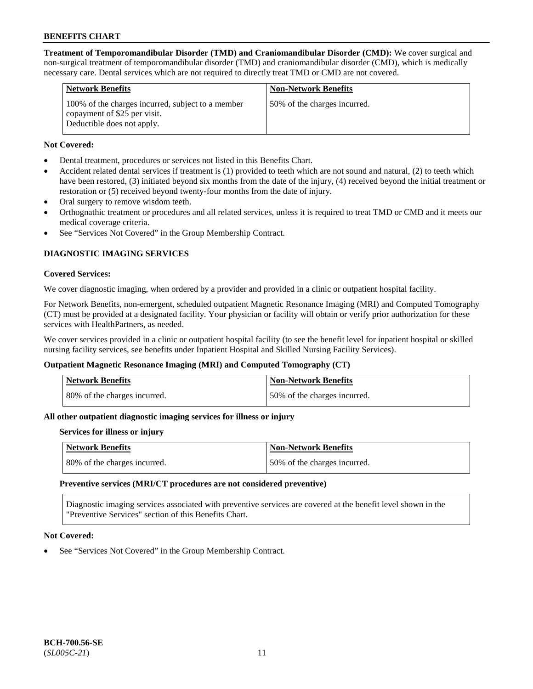**Treatment of Temporomandibular Disorder (TMD) and Craniomandibular Disorder (CMD):** We cover surgical and non-surgical treatment of temporomandibular disorder (TMD) and craniomandibular disorder (CMD), which is medically necessary care. Dental services which are not required to directly treat TMD or CMD are not covered.

| <b>Network Benefits</b>                                                                                         | <b>Non-Network Benefits</b>  |
|-----------------------------------------------------------------------------------------------------------------|------------------------------|
| 100% of the charges incurred, subject to a member<br>copayment of \$25 per visit.<br>Deductible does not apply. | 50% of the charges incurred. |

## **Not Covered:**

- Dental treatment, procedures or services not listed in this Benefits Chart.
- Accident related dental services if treatment is (1) provided to teeth which are not sound and natural, (2) to teeth which have been restored, (3) initiated beyond six months from the date of the injury, (4) received beyond the initial treatment or restoration or (5) received beyond twenty-four months from the date of injury.
- Oral surgery to remove wisdom teeth.
- Orthognathic treatment or procedures and all related services, unless it is required to treat TMD or CMD and it meets our medical coverage criteria.
- See "Services Not Covered" in the Group Membership Contract.

## **DIAGNOSTIC IMAGING SERVICES**

#### **Covered Services:**

We cover diagnostic imaging, when ordered by a provider and provided in a clinic or outpatient hospital facility.

For Network Benefits, non-emergent, scheduled outpatient Magnetic Resonance Imaging (MRI) and Computed Tomography (CT) must be provided at a designated facility. Your physician or facility will obtain or verify prior authorization for these services with HealthPartners, as needed.

We cover services provided in a clinic or outpatient hospital facility (to see the benefit level for inpatient hospital or skilled nursing facility services, see benefits under Inpatient Hospital and Skilled Nursing Facility Services).

## **Outpatient Magnetic Resonance Imaging (MRI) and Computed Tomography (CT)**

| Network Benefits             | <b>Non-Network Benefits</b>  |
|------------------------------|------------------------------|
| 80% of the charges incurred. | 50% of the charges incurred. |

## **All other outpatient diagnostic imaging services for illness or injury**

#### **Services for illness or injury**

| Network Benefits             | Non-Network Benefits         |
|------------------------------|------------------------------|
| 80% of the charges incurred. | 50% of the charges incurred. |

#### **Preventive services (MRI/CT procedures are not considered preventive)**

Diagnostic imaging services associated with preventive services are covered at the benefit level shown in the "Preventive Services" section of this Benefits Chart.

#### **Not Covered:**

See "Services Not Covered" in the Group Membership Contract.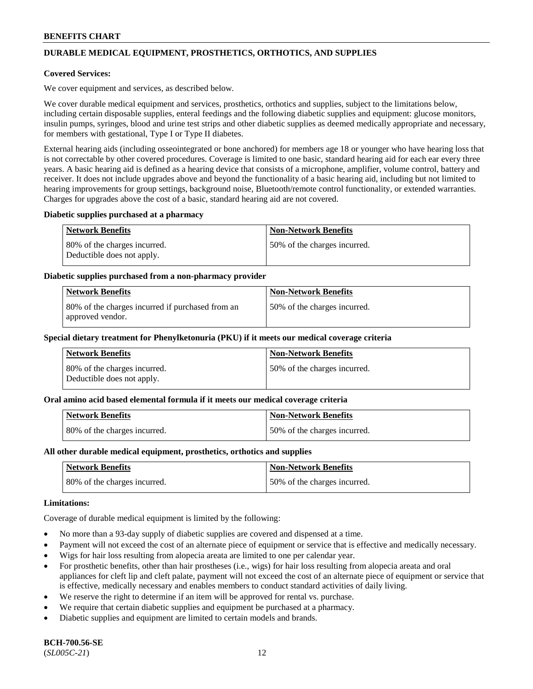## **DURABLE MEDICAL EQUIPMENT, PROSTHETICS, ORTHOTICS, AND SUPPLIES**

### **Covered Services:**

We cover equipment and services, as described below.

We cover durable medical equipment and services, prosthetics, orthotics and supplies, subject to the limitations below, including certain disposable supplies, enteral feedings and the following diabetic supplies and equipment: glucose monitors, insulin pumps, syringes, blood and urine test strips and other diabetic supplies as deemed medically appropriate and necessary, for members with gestational, Type I or Type II diabetes.

External hearing aids (including osseointegrated or bone anchored) for members age 18 or younger who have hearing loss that is not correctable by other covered procedures. Coverage is limited to one basic, standard hearing aid for each ear every three years. A basic hearing aid is defined as a hearing device that consists of a microphone, amplifier, volume control, battery and receiver. It does not include upgrades above and beyond the functionality of a basic hearing aid, including but not limited to hearing improvements for group settings, background noise, Bluetooth/remote control functionality, or extended warranties. Charges for upgrades above the cost of a basic, standard hearing aid are not covered.

#### **Diabetic supplies purchased at a pharmacy**

| <b>Network Benefits</b>                                    | <b>Non-Network Benefits</b>   |
|------------------------------------------------------------|-------------------------------|
| 80% of the charges incurred.<br>Deductible does not apply. | 50\% of the charges incurred. |

#### **Diabetic supplies purchased from a non-pharmacy provider**

| <b>Network Benefits</b>                                              | <b>Non-Network Benefits</b>  |
|----------------------------------------------------------------------|------------------------------|
| 80% of the charges incurred if purchased from an<br>approved vendor. | 50% of the charges incurred. |

#### **Special dietary treatment for Phenylketonuria (PKU) if it meets our medical coverage criteria**

| Network Benefits                                           | <b>Non-Network Benefits</b>  |
|------------------------------------------------------------|------------------------------|
| 80% of the charges incurred.<br>Deductible does not apply. | 50% of the charges incurred. |

#### **Oral amino acid based elemental formula if it meets our medical coverage criteria**

| Network Benefits             | <b>Non-Network Benefits</b>  |
|------------------------------|------------------------------|
| 80% of the charges incurred. | 50% of the charges incurred. |

#### **All other durable medical equipment, prosthetics, orthotics and supplies**

| Network Benefits             | <b>Non-Network Benefits</b>  |
|------------------------------|------------------------------|
| 80% of the charges incurred. | 50% of the charges incurred. |

### **Limitations:**

Coverage of durable medical equipment is limited by the following:

- No more than a 93-day supply of diabetic supplies are covered and dispensed at a time.
- Payment will not exceed the cost of an alternate piece of equipment or service that is effective and medically necessary.
- Wigs for hair loss resulting from alopecia areata are limited to one per calendar year.
- For prosthetic benefits, other than hair prostheses (i.e., wigs) for hair loss resulting from alopecia areata and oral appliances for cleft lip and cleft palate, payment will not exceed the cost of an alternate piece of equipment or service that is effective, medically necessary and enables members to conduct standard activities of daily living.
- We reserve the right to determine if an item will be approved for rental vs. purchase.
- We require that certain diabetic supplies and equipment be purchased at a pharmacy.
- Diabetic supplies and equipment are limited to certain models and brands.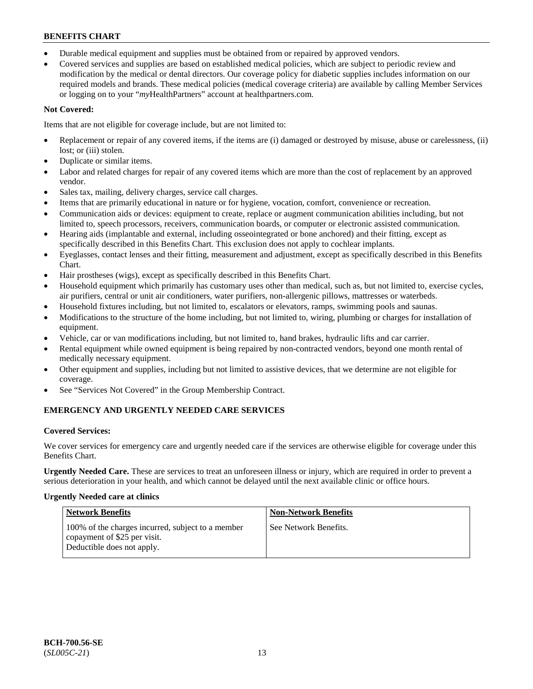- Durable medical equipment and supplies must be obtained from or repaired by approved vendors.
- Covered services and supplies are based on established medical policies, which are subject to periodic review and modification by the medical or dental directors. Our coverage policy for diabetic supplies includes information on our required models and brands. These medical policies (medical coverage criteria) are available by calling Member Services or logging on to your "*my*HealthPartners" account a[t healthpartners.com.](https://www.healthpartners.com/hp/index.html)

## **Not Covered:**

Items that are not eligible for coverage include, but are not limited to:

- Replacement or repair of any covered items, if the items are (i) damaged or destroyed by misuse, abuse or carelessness, (ii) lost; or (iii) stolen.
- Duplicate or similar items.
- Labor and related charges for repair of any covered items which are more than the cost of replacement by an approved vendor.
- Sales tax, mailing, delivery charges, service call charges.
- Items that are primarily educational in nature or for hygiene, vocation, comfort, convenience or recreation.
- Communication aids or devices: equipment to create, replace or augment communication abilities including, but not limited to, speech processors, receivers, communication boards, or computer or electronic assisted communication.
- Hearing aids (implantable and external, including osseointegrated or bone anchored) and their fitting, except as specifically described in this Benefits Chart. This exclusion does not apply to cochlear implants.
- Eyeglasses, contact lenses and their fitting, measurement and adjustment, except as specifically described in this Benefits Chart.
- Hair prostheses (wigs), except as specifically described in this Benefits Chart.
- Household equipment which primarily has customary uses other than medical, such as, but not limited to, exercise cycles, air purifiers, central or unit air conditioners, water purifiers, non-allergenic pillows, mattresses or waterbeds.
- Household fixtures including, but not limited to, escalators or elevators, ramps, swimming pools and saunas.
- Modifications to the structure of the home including, but not limited to, wiring, plumbing or charges for installation of equipment.
- Vehicle, car or van modifications including, but not limited to, hand brakes, hydraulic lifts and car carrier.
- Rental equipment while owned equipment is being repaired by non-contracted vendors, beyond one month rental of medically necessary equipment.
- Other equipment and supplies, including but not limited to assistive devices, that we determine are not eligible for coverage.
- See "Services Not Covered" in the Group Membership Contract.

## **EMERGENCY AND URGENTLY NEEDED CARE SERVICES**

## **Covered Services:**

We cover services for emergency care and urgently needed care if the services are otherwise eligible for coverage under this Benefits Chart.

**Urgently Needed Care.** These are services to treat an unforeseen illness or injury, which are required in order to prevent a serious deterioration in your health, and which cannot be delayed until the next available clinic or office hours.

## **Urgently Needed care at clinics**

| <b>Network Benefits</b>                                                                                         | <b>Non-Network Benefits</b> |
|-----------------------------------------------------------------------------------------------------------------|-----------------------------|
| 100% of the charges incurred, subject to a member<br>copayment of \$25 per visit.<br>Deductible does not apply. | See Network Benefits.       |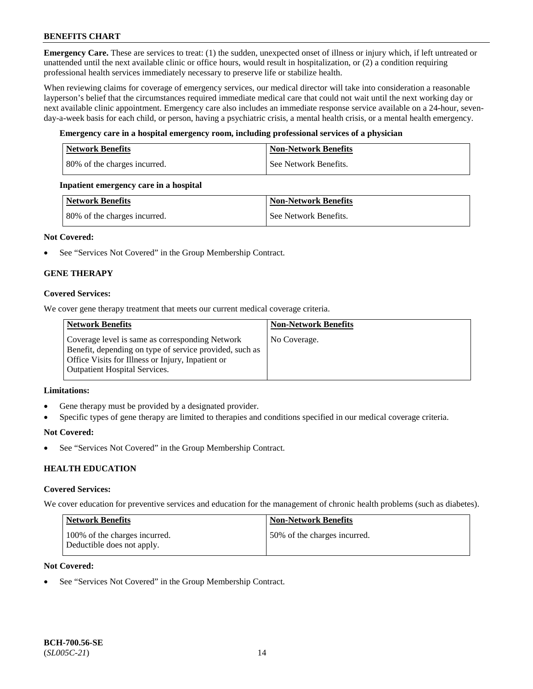**Emergency Care.** These are services to treat: (1) the sudden, unexpected onset of illness or injury which, if left untreated or unattended until the next available clinic or office hours, would result in hospitalization, or (2) a condition requiring professional health services immediately necessary to preserve life or stabilize health.

When reviewing claims for coverage of emergency services, our medical director will take into consideration a reasonable layperson's belief that the circumstances required immediate medical care that could not wait until the next working day or next available clinic appointment. Emergency care also includes an immediate response service available on a 24-hour, sevenday-a-week basis for each child, or person, having a psychiatric crisis, a mental health crisis, or a mental health emergency.

## **Emergency care in a hospital emergency room, including professional services of a physician**

| <b>Network Benefits</b>      | <b>Non-Network Benefits</b> |
|------------------------------|-----------------------------|
| 80% of the charges incurred. | See Network Benefits.       |

## **Inpatient emergency care in a hospital**

| Network Benefits             | <b>Non-Network Benefits</b> |
|------------------------------|-----------------------------|
| 80% of the charges incurred. | See Network Benefits.       |

## **Not Covered:**

• See "Services Not Covered" in the Group Membership Contract.

## **GENE THERAPY**

## **Covered Services:**

We cover gene therapy treatment that meets our current medical coverage criteria.

| <b>Network Benefits</b>                                                                                                                                                                                 | <b>Non-Network Benefits</b> |
|---------------------------------------------------------------------------------------------------------------------------------------------------------------------------------------------------------|-----------------------------|
| Coverage level is same as corresponding Network<br>Benefit, depending on type of service provided, such as<br>Office Visits for Illness or Injury, Inpatient or<br><b>Outpatient Hospital Services.</b> | No Coverage.                |

#### **Limitations:**

- Gene therapy must be provided by a designated provider.
- Specific types of gene therapy are limited to therapies and conditions specified in our medical coverage criteria.

#### **Not Covered:**

See "Services Not Covered" in the Group Membership Contract.

## **HEALTH EDUCATION**

#### **Covered Services:**

We cover education for preventive services and education for the management of chronic health problems (such as diabetes).

| Network Benefits                                            | <b>Non-Network Benefits</b>  |
|-------------------------------------------------------------|------------------------------|
| 100% of the charges incurred.<br>Deductible does not apply. | 50% of the charges incurred. |

### **Not Covered:**

See "Services Not Covered" in the Group Membership Contract.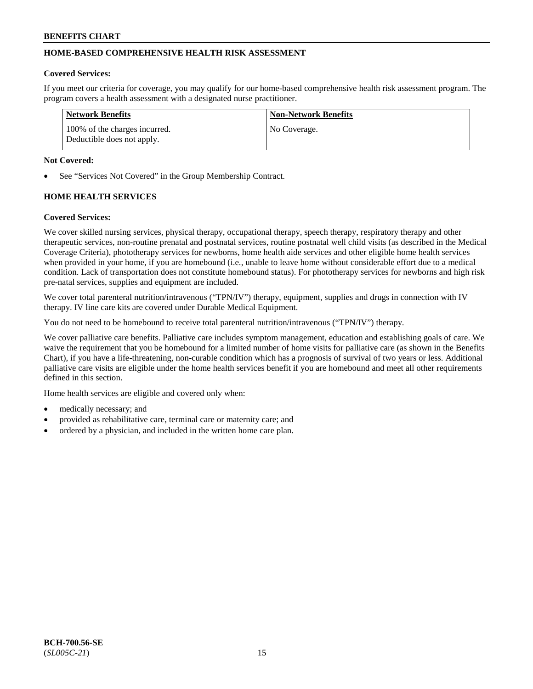## **HOME-BASED COMPREHENSIVE HEALTH RISK ASSESSMENT**

#### **Covered Services:**

If you meet our criteria for coverage, you may qualify for our home-based comprehensive health risk assessment program. The program covers a health assessment with a designated nurse practitioner.

| Network Benefits                                            | <b>Non-Network Benefits</b> |
|-------------------------------------------------------------|-----------------------------|
| 100% of the charges incurred.<br>Deductible does not apply. | No Coverage.                |

#### **Not Covered:**

See "Services Not Covered" in the Group Membership Contract.

## **HOME HEALTH SERVICES**

#### **Covered Services:**

We cover skilled nursing services, physical therapy, occupational therapy, speech therapy, respiratory therapy and other therapeutic services, non-routine prenatal and postnatal services, routine postnatal well child visits (as described in the Medical Coverage Criteria), phototherapy services for newborns, home health aide services and other eligible home health services when provided in your home, if you are homebound (i.e., unable to leave home without considerable effort due to a medical condition. Lack of transportation does not constitute homebound status). For phototherapy services for newborns and high risk pre-natal services, supplies and equipment are included.

We cover total parenteral nutrition/intravenous ("TPN/IV") therapy, equipment, supplies and drugs in connection with IV therapy. IV line care kits are covered under Durable Medical Equipment.

You do not need to be homebound to receive total parenteral nutrition/intravenous ("TPN/IV") therapy.

We cover palliative care benefits. Palliative care includes symptom management, education and establishing goals of care. We waive the requirement that you be homebound for a limited number of home visits for palliative care (as shown in the Benefits Chart), if you have a life-threatening, non-curable condition which has a prognosis of survival of two years or less. Additional palliative care visits are eligible under the home health services benefit if you are homebound and meet all other requirements defined in this section.

Home health services are eligible and covered only when:

- medically necessary; and
- provided as rehabilitative care, terminal care or maternity care; and
- ordered by a physician, and included in the written home care plan.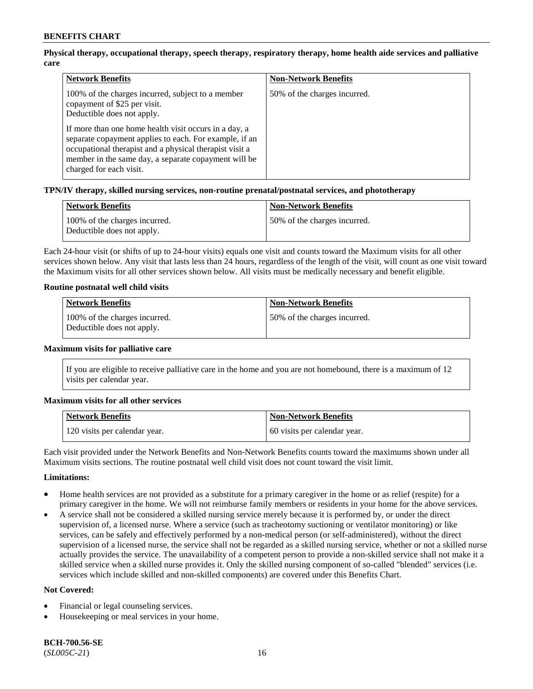## **Physical therapy, occupational therapy, speech therapy, respiratory therapy, home health aide services and palliative care**

| <b>Network Benefits</b>                                                                                                                                                                                                                                       | <b>Non-Network Benefits</b>  |
|---------------------------------------------------------------------------------------------------------------------------------------------------------------------------------------------------------------------------------------------------------------|------------------------------|
| 100% of the charges incurred, subject to a member<br>copayment of \$25 per visit.<br>Deductible does not apply.                                                                                                                                               | 50% of the charges incurred. |
| If more than one home health visit occurs in a day, a<br>separate copayment applies to each. For example, if an<br>occupational therapist and a physical therapist visit a<br>member in the same day, a separate copayment will be<br>charged for each visit. |                              |

## **TPN/IV therapy, skilled nursing services, non-routine prenatal/postnatal services, and phototherapy**

| <b>Network Benefits</b>                                     | <b>Non-Network Benefits</b>  |
|-------------------------------------------------------------|------------------------------|
| 100% of the charges incurred.<br>Deductible does not apply. | 50% of the charges incurred. |

Each 24-hour visit (or shifts of up to 24-hour visits) equals one visit and counts toward the Maximum visits for all other services shown below. Any visit that lasts less than 24 hours, regardless of the length of the visit, will count as one visit toward the Maximum visits for all other services shown below. All visits must be medically necessary and benefit eligible.

#### **Routine postnatal well child visits**

| <b>Network Benefits</b>                                     | <b>Non-Network Benefits</b>   |
|-------------------------------------------------------------|-------------------------------|
| 100% of the charges incurred.<br>Deductible does not apply. | 150% of the charges incurred. |

#### **Maximum visits for palliative care**

If you are eligible to receive palliative care in the home and you are not homebound, there is a maximum of 12 visits per calendar year.

#### **Maximum visits for all other services**

| <b>Network Benefits</b>       | Non-Network Benefits         |
|-------------------------------|------------------------------|
| 120 visits per calendar year. | 60 visits per calendar year. |

Each visit provided under the Network Benefits and Non-Network Benefits counts toward the maximums shown under all Maximum visits sections. The routine postnatal well child visit does not count toward the visit limit.

#### **Limitations:**

- Home health services are not provided as a substitute for a primary caregiver in the home or as relief (respite) for a primary caregiver in the home. We will not reimburse family members or residents in your home for the above services.
- A service shall not be considered a skilled nursing service merely because it is performed by, or under the direct supervision of, a licensed nurse. Where a service (such as tracheotomy suctioning or ventilator monitoring) or like services, can be safely and effectively performed by a non-medical person (or self-administered), without the direct supervision of a licensed nurse, the service shall not be regarded as a skilled nursing service, whether or not a skilled nurse actually provides the service. The unavailability of a competent person to provide a non-skilled service shall not make it a skilled service when a skilled nurse provides it. Only the skilled nursing component of so-called "blended" services (i.e. services which include skilled and non-skilled components) are covered under this Benefits Chart.

#### **Not Covered:**

- Financial or legal counseling services.
- Housekeeping or meal services in your home.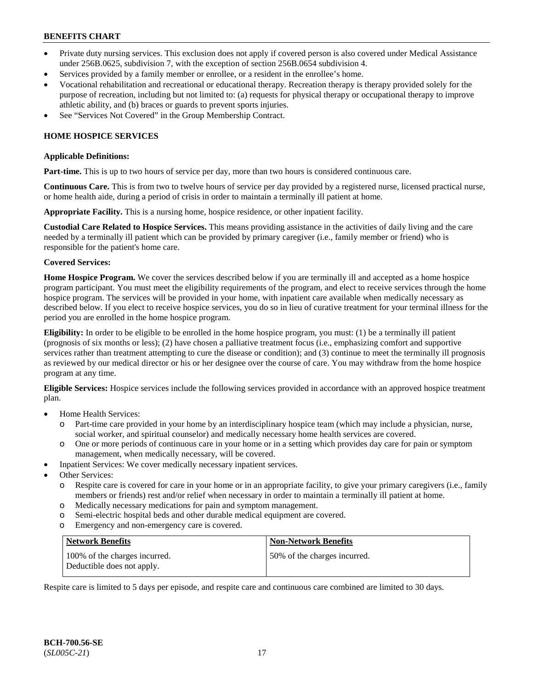- Private duty nursing services. This exclusion does not apply if covered person is also covered under Medical Assistance under 256B.0625, subdivision 7, with the exception of section 256B.0654 subdivision 4.
- Services provided by a family member or enrollee, or a resident in the enrollee's home.
- Vocational rehabilitation and recreational or educational therapy. Recreation therapy is therapy provided solely for the purpose of recreation, including but not limited to: (a) requests for physical therapy or occupational therapy to improve athletic ability, and (b) braces or guards to prevent sports injuries.
- See "Services Not Covered" in the Group Membership Contract.

## **HOME HOSPICE SERVICES**

#### **Applicable Definitions:**

**Part-time.** This is up to two hours of service per day, more than two hours is considered continuous care.

**Continuous Care.** This is from two to twelve hours of service per day provided by a registered nurse, licensed practical nurse, or home health aide, during a period of crisis in order to maintain a terminally ill patient at home.

**Appropriate Facility.** This is a nursing home, hospice residence, or other inpatient facility.

**Custodial Care Related to Hospice Services.** This means providing assistance in the activities of daily living and the care needed by a terminally ill patient which can be provided by primary caregiver (i.e., family member or friend) who is responsible for the patient's home care.

#### **Covered Services:**

**Home Hospice Program.** We cover the services described below if you are terminally ill and accepted as a home hospice program participant. You must meet the eligibility requirements of the program, and elect to receive services through the home hospice program. The services will be provided in your home, with inpatient care available when medically necessary as described below. If you elect to receive hospice services, you do so in lieu of curative treatment for your terminal illness for the period you are enrolled in the home hospice program.

**Eligibility:** In order to be eligible to be enrolled in the home hospice program, you must: (1) be a terminally ill patient (prognosis of six months or less); (2) have chosen a palliative treatment focus (i.e., emphasizing comfort and supportive services rather than treatment attempting to cure the disease or condition); and (3) continue to meet the terminally ill prognosis as reviewed by our medical director or his or her designee over the course of care. You may withdraw from the home hospice program at any time.

**Eligible Services:** Hospice services include the following services provided in accordance with an approved hospice treatment plan.

- Home Health Services:
	- o Part-time care provided in your home by an interdisciplinary hospice team (which may include a physician, nurse, social worker, and spiritual counselor) and medically necessary home health services are covered.
	- o One or more periods of continuous care in your home or in a setting which provides day care for pain or symptom management, when medically necessary, will be covered.
- Inpatient Services: We cover medically necessary inpatient services.
- Other Services:
	- o Respite care is covered for care in your home or in an appropriate facility, to give your primary caregivers (i.e., family members or friends) rest and/or relief when necessary in order to maintain a terminally ill patient at home.
	- o Medically necessary medications for pain and symptom management.
	- o Semi-electric hospital beds and other durable medical equipment are covered.
	- o Emergency and non-emergency care is covered.

| Network Benefits                                            | <b>Non-Network Benefits</b>  |
|-------------------------------------------------------------|------------------------------|
| 100% of the charges incurred.<br>Deductible does not apply. | 50% of the charges incurred. |

Respite care is limited to 5 days per episode, and respite care and continuous care combined are limited to 30 days.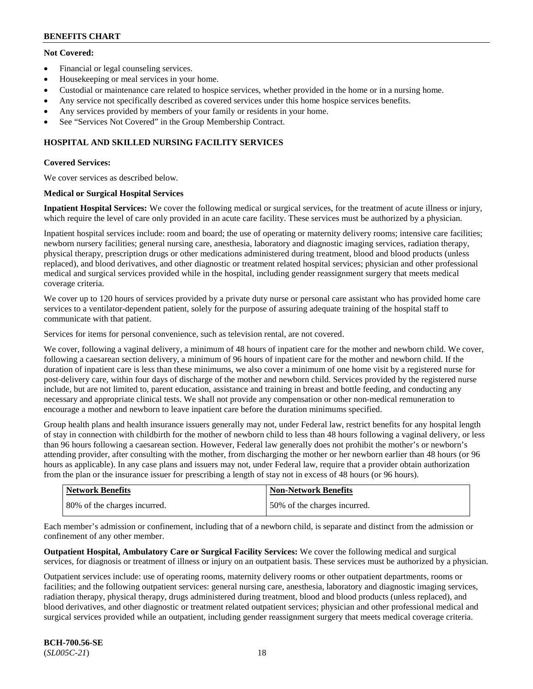## **Not Covered:**

- Financial or legal counseling services.
- Housekeeping or meal services in your home.
- Custodial or maintenance care related to hospice services, whether provided in the home or in a nursing home.
- Any service not specifically described as covered services under this home hospice services benefits.
- Any services provided by members of your family or residents in your home.
- See "Services Not Covered" in the Group Membership Contract.

## **HOSPITAL AND SKILLED NURSING FACILITY SERVICES**

## **Covered Services:**

We cover services as described below.

## **Medical or Surgical Hospital Services**

**Inpatient Hospital Services:** We cover the following medical or surgical services, for the treatment of acute illness or injury, which require the level of care only provided in an acute care facility. These services must be authorized by a physician.

Inpatient hospital services include: room and board; the use of operating or maternity delivery rooms; intensive care facilities; newborn nursery facilities; general nursing care, anesthesia, laboratory and diagnostic imaging services, radiation therapy, physical therapy, prescription drugs or other medications administered during treatment, blood and blood products (unless replaced), and blood derivatives, and other diagnostic or treatment related hospital services; physician and other professional medical and surgical services provided while in the hospital, including gender reassignment surgery that meets medical coverage criteria.

We cover up to 120 hours of services provided by a private duty nurse or personal care assistant who has provided home care services to a ventilator-dependent patient, solely for the purpose of assuring adequate training of the hospital staff to communicate with that patient.

Services for items for personal convenience, such as television rental, are not covered.

We cover, following a vaginal delivery, a minimum of 48 hours of inpatient care for the mother and newborn child. We cover, following a caesarean section delivery, a minimum of 96 hours of inpatient care for the mother and newborn child. If the duration of inpatient care is less than these minimums, we also cover a minimum of one home visit by a registered nurse for post-delivery care, within four days of discharge of the mother and newborn child. Services provided by the registered nurse include, but are not limited to, parent education, assistance and training in breast and bottle feeding, and conducting any necessary and appropriate clinical tests. We shall not provide any compensation or other non-medical remuneration to encourage a mother and newborn to leave inpatient care before the duration minimums specified.

Group health plans and health insurance issuers generally may not, under Federal law, restrict benefits for any hospital length of stay in connection with childbirth for the mother of newborn child to less than 48 hours following a vaginal delivery, or less than 96 hours following a caesarean section. However, Federal law generally does not prohibit the mother's or newborn's attending provider, after consulting with the mother, from discharging the mother or her newborn earlier than 48 hours (or 96 hours as applicable). In any case plans and issuers may not, under Federal law, require that a provider obtain authorization from the plan or the insurance issuer for prescribing a length of stay not in excess of 48 hours (or 96 hours).

| <b>Network Benefits</b>       | <b>Non-Network Benefits</b>  |
|-------------------------------|------------------------------|
| 180% of the charges incurred. | 50% of the charges incurred. |

Each member's admission or confinement, including that of a newborn child, is separate and distinct from the admission or confinement of any other member.

**Outpatient Hospital, Ambulatory Care or Surgical Facility Services:** We cover the following medical and surgical services, for diagnosis or treatment of illness or injury on an outpatient basis. These services must be authorized by a physician.

Outpatient services include: use of operating rooms, maternity delivery rooms or other outpatient departments, rooms or facilities; and the following outpatient services: general nursing care, anesthesia, laboratory and diagnostic imaging services, radiation therapy, physical therapy, drugs administered during treatment, blood and blood products (unless replaced), and blood derivatives, and other diagnostic or treatment related outpatient services; physician and other professional medical and surgical services provided while an outpatient, including gender reassignment surgery that meets medical coverage criteria.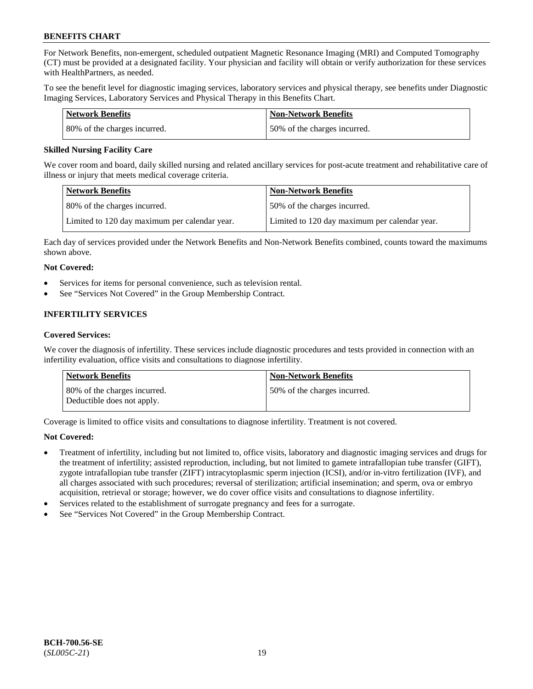For Network Benefits, non-emergent, scheduled outpatient Magnetic Resonance Imaging (MRI) and Computed Tomography (CT) must be provided at a designated facility. Your physician and facility will obtain or verify authorization for these services with HealthPartners, as needed.

To see the benefit level for diagnostic imaging services, laboratory services and physical therapy, see benefits under Diagnostic Imaging Services, Laboratory Services and Physical Therapy in this Benefits Chart.

| Network Benefits             | <b>Non-Network Benefits</b>  |
|------------------------------|------------------------------|
| 80% of the charges incurred. | 50% of the charges incurred. |

### **Skilled Nursing Facility Care**

We cover room and board, daily skilled nursing and related ancillary services for post-acute treatment and rehabilitative care of illness or injury that meets medical coverage criteria.

| Network Benefits                              | <b>Non-Network Benefits</b>                   |
|-----------------------------------------------|-----------------------------------------------|
| 80% of the charges incurred.                  | 50% of the charges incurred.                  |
| Limited to 120 day maximum per calendar year. | Limited to 120 day maximum per calendar year. |

Each day of services provided under the Network Benefits and Non-Network Benefits combined, counts toward the maximums shown above.

## **Not Covered:**

- Services for items for personal convenience, such as television rental.
- See "Services Not Covered" in the Group Membership Contract.

## **INFERTILITY SERVICES**

#### **Covered Services:**

We cover the diagnosis of infertility. These services include diagnostic procedures and tests provided in connection with an infertility evaluation, office visits and consultations to diagnose infertility.

| <b>Network Benefits</b>                                    | <b>Non-Network Benefits</b>  |
|------------------------------------------------------------|------------------------------|
| 80% of the charges incurred.<br>Deductible does not apply. | 50% of the charges incurred. |

Coverage is limited to office visits and consultations to diagnose infertility. Treatment is not covered.

## **Not Covered:**

- Treatment of infertility, including but not limited to, office visits, laboratory and diagnostic imaging services and drugs for the treatment of infertility; assisted reproduction, including, but not limited to gamete intrafallopian tube transfer (GIFT), zygote intrafallopian tube transfer (ZIFT) intracytoplasmic sperm injection (ICSI), and/or in-vitro fertilization (IVF), and all charges associated with such procedures; reversal of sterilization; artificial insemination; and sperm, ova or embryo acquisition, retrieval or storage; however, we do cover office visits and consultations to diagnose infertility.
- Services related to the establishment of surrogate pregnancy and fees for a surrogate.
- See "Services Not Covered" in the Group Membership Contract.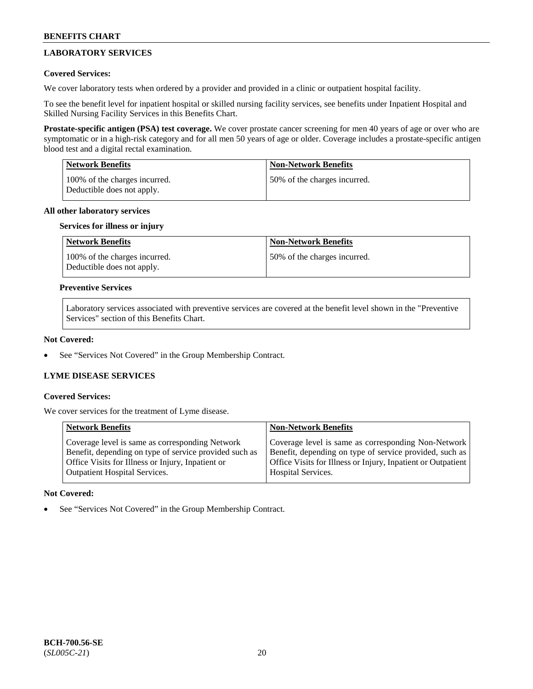## **LABORATORY SERVICES**

## **Covered Services:**

We cover laboratory tests when ordered by a provider and provided in a clinic or outpatient hospital facility.

To see the benefit level for inpatient hospital or skilled nursing facility services, see benefits under Inpatient Hospital and Skilled Nursing Facility Services in this Benefits Chart.

**Prostate-specific antigen (PSA) test coverage.** We cover prostate cancer screening for men 40 years of age or over who are symptomatic or in a high-risk category and for all men 50 years of age or older. Coverage includes a prostate-specific antigen blood test and a digital rectal examination.

| <b>Network Benefits</b>                                     | <b>Non-Network Benefits</b>  |
|-------------------------------------------------------------|------------------------------|
| 100% of the charges incurred.<br>Deductible does not apply. | 50% of the charges incurred. |

## **All other laboratory services**

## **Services for illness or injury**

| Network Benefits                                            | <b>Non-Network Benefits</b>  |
|-------------------------------------------------------------|------------------------------|
| 100% of the charges incurred.<br>Deductible does not apply. | 50% of the charges incurred. |

### **Preventive Services**

Laboratory services associated with preventive services are covered at the benefit level shown in the "Preventive Services" section of this Benefits Chart.

### **Not Covered:**

See "Services Not Covered" in the Group Membership Contract.

## **LYME DISEASE SERVICES**

#### **Covered Services:**

We cover services for the treatment of Lyme disease.

| <b>Network Benefits</b>                                                                                                                                                                                | <b>Non-Network Benefits</b>                                                                                                                                                    |
|--------------------------------------------------------------------------------------------------------------------------------------------------------------------------------------------------------|--------------------------------------------------------------------------------------------------------------------------------------------------------------------------------|
| Coverage level is same as corresponding Network<br>Benefit, depending on type of service provided such as<br>Office Visits for Illness or Injury, Inpatient or<br><b>Outpatient Hospital Services.</b> | Coverage level is same as corresponding Non-Network<br>Benefit, depending on type of service provided, such as<br>Office Visits for Illness or Injury, Inpatient or Outpatient |
|                                                                                                                                                                                                        | Hospital Services.                                                                                                                                                             |

## **Not Covered:**

See "Services Not Covered" in the Group Membership Contract.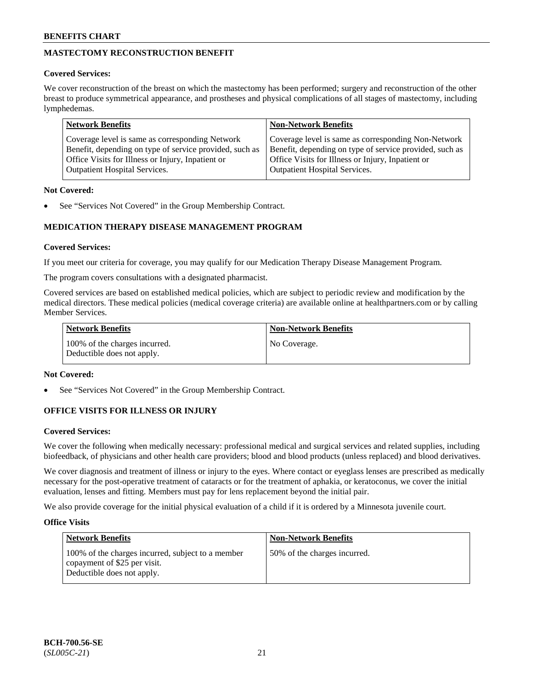## **MASTECTOMY RECONSTRUCTION BENEFIT**

## **Covered Services:**

We cover reconstruction of the breast on which the mastectomy has been performed; surgery and reconstruction of the other breast to produce symmetrical appearance, and prostheses and physical complications of all stages of mastectomy, including lymphedemas.

| <b>Network Benefits</b>                                 | <b>Non-Network Benefits</b>                             |
|---------------------------------------------------------|---------------------------------------------------------|
| Coverage level is same as corresponding Network         | Coverage level is same as corresponding Non-Network     |
| Benefit, depending on type of service provided, such as | Benefit, depending on type of service provided, such as |
| Office Visits for Illness or Injury, Inpatient or       | Office Visits for Illness or Injury, Inpatient or       |
| <b>Outpatient Hospital Services.</b>                    | <b>Outpatient Hospital Services.</b>                    |

## **Not Covered:**

See "Services Not Covered" in the Group Membership Contract.

## **MEDICATION THERAPY DISEASE MANAGEMENT PROGRAM**

## **Covered Services:**

If you meet our criteria for coverage, you may qualify for our Medication Therapy Disease Management Program.

The program covers consultations with a designated pharmacist.

Covered services are based on established medical policies, which are subject to periodic review and modification by the medical directors. These medical policies (medical coverage criteria) are available online at [healthpartners.com](https://www.healthpartners.com/hp/index.html) or by calling Member Services.

| Network Benefits                                            | <b>Non-Network Benefits</b> |
|-------------------------------------------------------------|-----------------------------|
| 100% of the charges incurred.<br>Deductible does not apply. | No Coverage.                |

## **Not Covered:**

See "Services Not Covered" in the Group Membership Contract.

## **OFFICE VISITS FOR ILLNESS OR INJURY**

## **Covered Services:**

We cover the following when medically necessary: professional medical and surgical services and related supplies, including biofeedback, of physicians and other health care providers; blood and blood products (unless replaced) and blood derivatives.

We cover diagnosis and treatment of illness or injury to the eyes. Where contact or eyeglass lenses are prescribed as medically necessary for the post-operative treatment of cataracts or for the treatment of aphakia, or keratoconus, we cover the initial evaluation, lenses and fitting. Members must pay for lens replacement beyond the initial pair.

We also provide coverage for the initial physical evaluation of a child if it is ordered by a Minnesota juvenile court.

## **Office Visits**

| <b>Network Benefits</b>                                                                                         | <b>Non-Network Benefits</b>  |
|-----------------------------------------------------------------------------------------------------------------|------------------------------|
| 100% of the charges incurred, subject to a member<br>copayment of \$25 per visit.<br>Deductible does not apply. | 50% of the charges incurred. |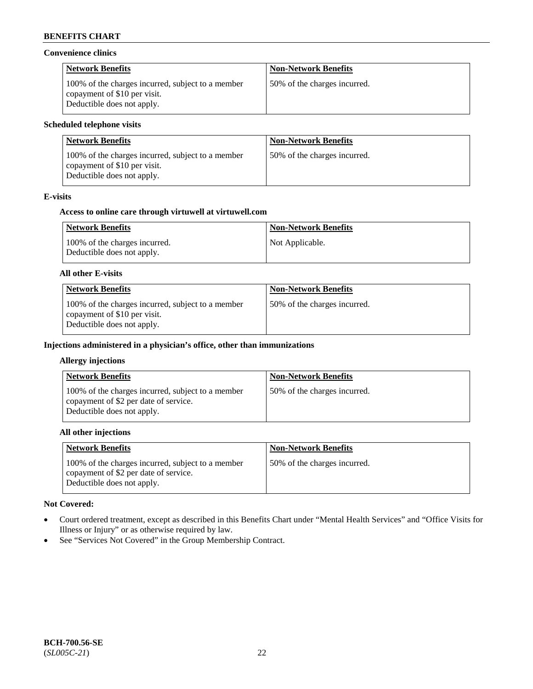### **Convenience clinics**

| <b>Network Benefits</b>                                                                                         | <b>Non-Network Benefits</b>  |
|-----------------------------------------------------------------------------------------------------------------|------------------------------|
| 100% of the charges incurred, subject to a member<br>copayment of \$10 per visit.<br>Deductible does not apply. | 50% of the charges incurred. |

### **Scheduled telephone visits**

| <b>Network Benefits</b>                                                                                         | <b>Non-Network Benefits</b>  |
|-----------------------------------------------------------------------------------------------------------------|------------------------------|
| 100% of the charges incurred, subject to a member<br>copayment of \$10 per visit.<br>Deductible does not apply. | 50% of the charges incurred. |

## **E-visits**

### **Access to online care through virtuwell at [virtuwell.com](https://www.virtuwell.com/)**

| <b>Network Benefits</b>                                     | <b>Non-Network Benefits</b> |
|-------------------------------------------------------------|-----------------------------|
| 100% of the charges incurred.<br>Deductible does not apply. | Not Applicable.             |

#### **All other E-visits**

| <b>Network Benefits</b>                                                                                         | <b>Non-Network Benefits</b>  |
|-----------------------------------------------------------------------------------------------------------------|------------------------------|
| 100% of the charges incurred, subject to a member<br>copayment of \$10 per visit.<br>Deductible does not apply. | 50% of the charges incurred. |

### **Injections administered in a physician's office, other than immunizations**

#### **Allergy injections**

| <b>Network Benefits</b>                                                                                                  | <b>Non-Network Benefits</b>  |
|--------------------------------------------------------------------------------------------------------------------------|------------------------------|
| 100% of the charges incurred, subject to a member<br>copayment of \$2 per date of service.<br>Deductible does not apply. | 50% of the charges incurred. |

#### **All other injections**

| <b>Network Benefits</b>                                                                                                  | <b>Non-Network Benefits</b>  |
|--------------------------------------------------------------------------------------------------------------------------|------------------------------|
| 100% of the charges incurred, subject to a member<br>copayment of \$2 per date of service.<br>Deductible does not apply. | 50% of the charges incurred. |

## **Not Covered:**

- Court ordered treatment, except as described in this Benefits Chart under "Mental Health Services" and "Office Visits for Illness or Injury" or as otherwise required by law.
- See "Services Not Covered" in the Group Membership Contract.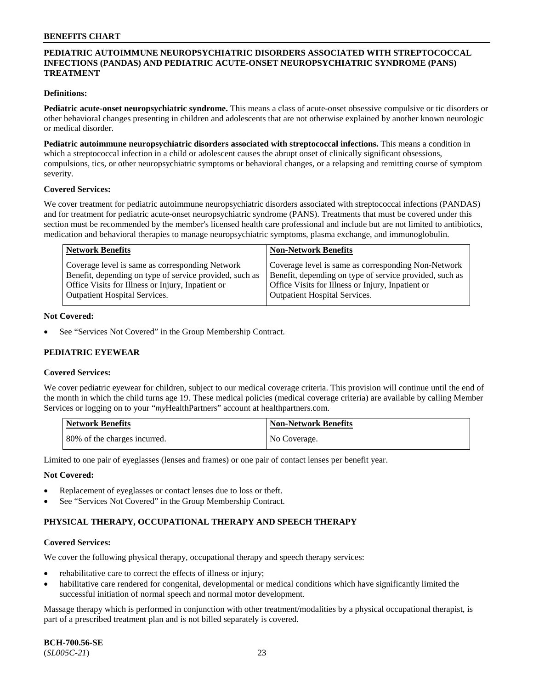## **PEDIATRIC AUTOIMMUNE NEUROPSYCHIATRIC DISORDERS ASSOCIATED WITH STREPTOCOCCAL INFECTIONS (PANDAS) AND PEDIATRIC ACUTE-ONSET NEUROPSYCHIATRIC SYNDROME (PANS) TREATMENT**

### **Definitions:**

**Pediatric acute-onset neuropsychiatric syndrome.** This means a class of acute-onset obsessive compulsive or tic disorders or other behavioral changes presenting in children and adolescents that are not otherwise explained by another known neurologic or medical disorder.

**Pediatric autoimmune neuropsychiatric disorders associated with streptococcal infections.** This means a condition in which a streptococcal infection in a child or adolescent causes the abrupt onset of clinically significant obsessions, compulsions, tics, or other neuropsychiatric symptoms or behavioral changes, or a relapsing and remitting course of symptom severity.

#### **Covered Services:**

We cover treatment for pediatric autoimmune neuropsychiatric disorders associated with streptococcal infections (PANDAS) and for treatment for pediatric acute-onset neuropsychiatric syndrome (PANS). Treatments that must be covered under this section must be recommended by the member's licensed health care professional and include but are not limited to antibiotics, medication and behavioral therapies to manage neuropsychiatric symptoms, plasma exchange, and immunoglobulin.

| <b>Network Benefits</b>                                 | <b>Non-Network Benefits</b>                             |
|---------------------------------------------------------|---------------------------------------------------------|
| Coverage level is same as corresponding Network         | Coverage level is same as corresponding Non-Network     |
| Benefit, depending on type of service provided, such as | Benefit, depending on type of service provided, such as |
| Office Visits for Illness or Injury, Inpatient or       | Office Visits for Illness or Injury, Inpatient or       |
| <b>Outpatient Hospital Services.</b>                    | <b>Outpatient Hospital Services.</b>                    |

#### **Not Covered:**

See "Services Not Covered" in the Group Membership Contract.

## **PEDIATRIC EYEWEAR**

#### **Covered Services:**

We cover pediatric eyewear for children, subject to our medical coverage criteria. This provision will continue until the end of the month in which the child turns age 19. These medical policies (medical coverage criteria) are available by calling Member Services or logging on to your "*my*HealthPartners" account at [healthpartners.com.](https://www.healthpartners.com/hp/index.html)

| Network Benefits             | <b>Non-Network Benefits</b> |
|------------------------------|-----------------------------|
| 80% of the charges incurred. | No Coverage.                |

Limited to one pair of eyeglasses (lenses and frames) or one pair of contact lenses per benefit year.

#### **Not Covered:**

- Replacement of eyeglasses or contact lenses due to loss or theft.
- See "Services Not Covered" in the Group Membership Contract.

## **PHYSICAL THERAPY, OCCUPATIONAL THERAPY AND SPEECH THERAPY**

#### **Covered Services:**

We cover the following physical therapy, occupational therapy and speech therapy services:

- rehabilitative care to correct the effects of illness or injury;
- habilitative care rendered for congenital, developmental or medical conditions which have significantly limited the successful initiation of normal speech and normal motor development.

Massage therapy which is performed in conjunction with other treatment/modalities by a physical occupational therapist, is part of a prescribed treatment plan and is not billed separately is covered.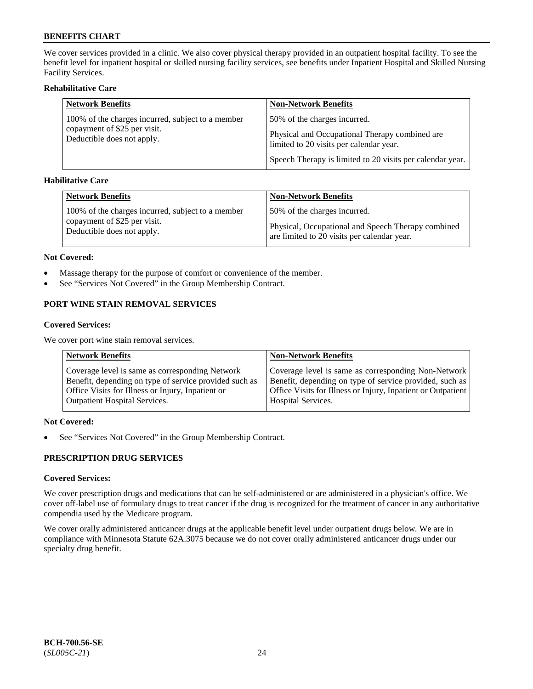We cover services provided in a clinic. We also cover physical therapy provided in an outpatient hospital facility. To see the benefit level for inpatient hospital or skilled nursing facility services, see benefits under Inpatient Hospital and Skilled Nursing Facility Services.

## **Rehabilitative Care**

| <b>Network Benefits</b>                                    | <b>Non-Network Benefits</b>                                                               |
|------------------------------------------------------------|-------------------------------------------------------------------------------------------|
| 100% of the charges incurred, subject to a member          | 50% of the charges incurred.                                                              |
| copayment of \$25 per visit.<br>Deductible does not apply. | Physical and Occupational Therapy combined are<br>limited to 20 visits per calendar year. |
|                                                            | Speech Therapy is limited to 20 visits per calendar year.                                 |

## **Habilitative Care**

| <b>Network Benefits</b>                           | <b>Non-Network Benefits</b>                        |
|---------------------------------------------------|----------------------------------------------------|
| 100% of the charges incurred, subject to a member | 50% of the charges incurred.                       |
| copayment of \$25 per visit.                      | Physical, Occupational and Speech Therapy combined |
| Deductible does not apply.                        | are limited to 20 visits per calendar year.        |

#### **Not Covered:**

- Massage therapy for the purpose of comfort or convenience of the member.
- See "Services Not Covered" in the Group Membership Contract.

## **PORT WINE STAIN REMOVAL SERVICES**

#### **Covered Services:**

We cover port wine stain removal services.

| <b>Network Benefits</b>                                | <b>Non-Network Benefits</b>                                  |
|--------------------------------------------------------|--------------------------------------------------------------|
| Coverage level is same as corresponding Network        | Coverage level is same as corresponding Non-Network          |
| Benefit, depending on type of service provided such as | Benefit, depending on type of service provided, such as      |
| Office Visits for Illness or Injury, Inpatient or      | Office Visits for Illness or Injury, Inpatient or Outpatient |
| <b>Outpatient Hospital Services.</b>                   | <b>Hospital Services.</b>                                    |

## **Not Covered:**

• See "Services Not Covered" in the Group Membership Contract.

## **PRESCRIPTION DRUG SERVICES**

## **Covered Services:**

We cover prescription drugs and medications that can be self-administered or are administered in a physician's office. We cover off-label use of formulary drugs to treat cancer if the drug is recognized for the treatment of cancer in any authoritative compendia used by the Medicare program.

We cover orally administered anticancer drugs at the applicable benefit level under outpatient drugs below. We are in compliance with Minnesota Statute 62A.3075 because we do not cover orally administered anticancer drugs under our specialty drug benefit.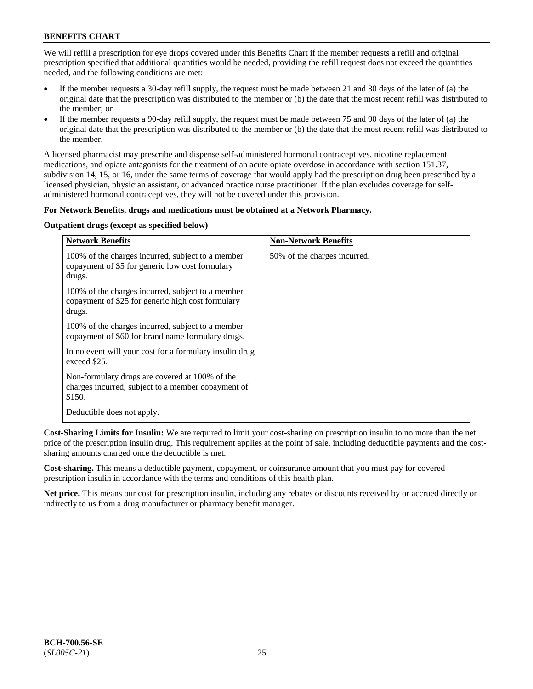We will refill a prescription for eye drops covered under this Benefits Chart if the member requests a refill and original prescription specified that additional quantities would be needed, providing the refill request does not exceed the quantities needed, and the following conditions are met:

- If the member requests a 30-day refill supply, the request must be made between 21 and 30 days of the later of (a) the original date that the prescription was distributed to the member or (b) the date that the most recent refill was distributed to the member; or
- If the member requests a 90-day refill supply, the request must be made between 75 and 90 days of the later of (a) the original date that the prescription was distributed to the member or (b) the date that the most recent refill was distributed to the member.

A licensed pharmacist may prescribe and dispense self-administered hormonal contraceptives, nicotine replacement medications, and opiate antagonists for the treatment of an acute opiate overdose in accordance with section 151.37, subdivision 14, 15, or 16, under the same terms of coverage that would apply had the prescription drug been prescribed by a licensed physician, physician assistant, or advanced practice nurse practitioner. If the plan excludes coverage for selfadministered hormonal contraceptives, they will not be covered under this provision.

## **For Network Benefits, drugs and medications must be obtained at a Network Pharmacy.**

## **Outpatient drugs (except as specified below)**

| <b>Network Benefits</b>                                                                                          | <b>Non-Network Benefits</b>  |
|------------------------------------------------------------------------------------------------------------------|------------------------------|
| 100% of the charges incurred, subject to a member<br>copayment of \$5 for generic low cost formulary<br>drugs.   | 50% of the charges incurred. |
| 100% of the charges incurred, subject to a member<br>copayment of \$25 for generic high cost formulary<br>drugs. |                              |
| 100% of the charges incurred, subject to a member<br>copayment of \$60 for brand name formulary drugs.           |                              |
| In no event will your cost for a formulary insulin drug<br>exceed \$25.                                          |                              |
| Non-formulary drugs are covered at 100% of the<br>charges incurred, subject to a member copayment of<br>\$150.   |                              |
| Deductible does not apply.                                                                                       |                              |

**Cost-Sharing Limits for Insulin:** We are required to limit your cost-sharing on prescription insulin to no more than the net price of the prescription insulin drug. This requirement applies at the point of sale, including deductible payments and the costsharing amounts charged once the deductible is met.

**Cost-sharing.** This means a deductible payment, copayment, or coinsurance amount that you must pay for covered prescription insulin in accordance with the terms and conditions of this health plan.

**Net price.** This means our cost for prescription insulin, including any rebates or discounts received by or accrued directly or indirectly to us from a drug manufacturer or pharmacy benefit manager.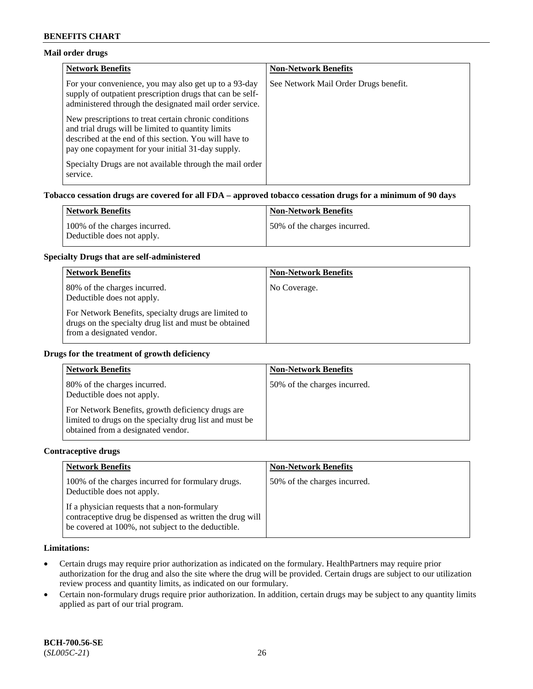## **Mail order drugs**

| <b>Network Benefits</b>                                                                                                                                                                                                    | <b>Non-Network Benefits</b>           |
|----------------------------------------------------------------------------------------------------------------------------------------------------------------------------------------------------------------------------|---------------------------------------|
| For your convenience, you may also get up to a 93-day<br>supply of outpatient prescription drugs that can be self-<br>administered through the designated mail order service.                                              | See Network Mail Order Drugs benefit. |
| New prescriptions to treat certain chronic conditions<br>and trial drugs will be limited to quantity limits<br>described at the end of this section. You will have to<br>pay one copayment for your initial 31-day supply. |                                       |
| Specialty Drugs are not available through the mail order<br>service.                                                                                                                                                       |                                       |

## **Tobacco cessation drugs are covered for all FDA – approved tobacco cessation drugs for a minimum of 90 days**

| Network Benefits                                            | <b>Non-Network Benefits</b>   |
|-------------------------------------------------------------|-------------------------------|
| 100% of the charges incurred.<br>Deductible does not apply. | 150% of the charges incurred. |

#### **Specialty Drugs that are self-administered**

| <b>Network Benefits</b>                                                                                                                    | <b>Non-Network Benefits</b> |
|--------------------------------------------------------------------------------------------------------------------------------------------|-----------------------------|
| 80% of the charges incurred.<br>Deductible does not apply.                                                                                 | No Coverage.                |
| For Network Benefits, specialty drugs are limited to<br>drugs on the specialty drug list and must be obtained<br>from a designated vendor. |                             |

### **Drugs for the treatment of growth deficiency**

| <b>Network Benefits</b>                                                                                                                            | <b>Non-Network Benefits</b>  |
|----------------------------------------------------------------------------------------------------------------------------------------------------|------------------------------|
| 80% of the charges incurred.<br>Deductible does not apply.                                                                                         | 50% of the charges incurred. |
| For Network Benefits, growth deficiency drugs are<br>limited to drugs on the specialty drug list and must be<br>obtained from a designated vendor. |                              |

#### **Contraceptive drugs**

| <b>Network Benefits</b>                                                                                                                                        | <b>Non-Network Benefits</b>  |
|----------------------------------------------------------------------------------------------------------------------------------------------------------------|------------------------------|
| 100% of the charges incurred for formulary drugs.<br>Deductible does not apply.                                                                                | 50% of the charges incurred. |
| If a physician requests that a non-formulary<br>contraceptive drug be dispensed as written the drug will<br>be covered at 100%, not subject to the deductible. |                              |

## **Limitations:**

- Certain drugs may require prior authorization as indicated on the formulary. HealthPartners may require prior authorization for the drug and also the site where the drug will be provided. Certain drugs are subject to our utilization review process and quantity limits, as indicated on our formulary.
- Certain non-formulary drugs require prior authorization. In addition, certain drugs may be subject to any quantity limits applied as part of our trial program.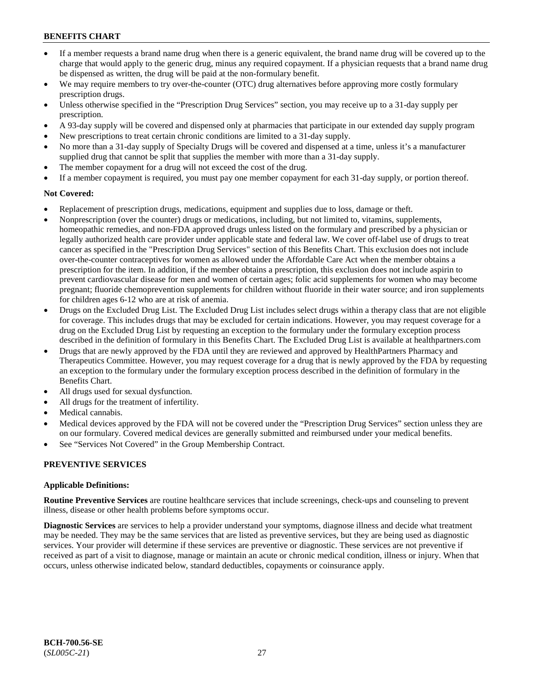- If a member requests a brand name drug when there is a generic equivalent, the brand name drug will be covered up to the charge that would apply to the generic drug, minus any required copayment. If a physician requests that a brand name drug be dispensed as written, the drug will be paid at the non-formulary benefit.
- We may require members to try over-the-counter (OTC) drug alternatives before approving more costly formulary prescription drugs.
- Unless otherwise specified in the "Prescription Drug Services" section, you may receive up to a 31-day supply per prescription.
- A 93-day supply will be covered and dispensed only at pharmacies that participate in our extended day supply program
- New prescriptions to treat certain chronic conditions are limited to a 31-day supply.
- No more than a 31-day supply of Specialty Drugs will be covered and dispensed at a time, unless it's a manufacturer supplied drug that cannot be split that supplies the member with more than a 31-day supply.
- The member copayment for a drug will not exceed the cost of the drug.
- If a member copayment is required, you must pay one member copayment for each 31-day supply, or portion thereof.

## **Not Covered:**

- Replacement of prescription drugs, medications, equipment and supplies due to loss, damage or theft.
- Nonprescription (over the counter) drugs or medications, including, but not limited to, vitamins, supplements, homeopathic remedies, and non-FDA approved drugs unless listed on the formulary and prescribed by a physician or legally authorized health care provider under applicable state and federal law. We cover off-label use of drugs to treat cancer as specified in the "Prescription Drug Services" section of this Benefits Chart. This exclusion does not include over-the-counter contraceptives for women as allowed under the Affordable Care Act when the member obtains a prescription for the item. In addition, if the member obtains a prescription, this exclusion does not include aspirin to prevent cardiovascular disease for men and women of certain ages; folic acid supplements for women who may become pregnant; fluoride chemoprevention supplements for children without fluoride in their water source; and iron supplements for children ages 6-12 who are at risk of anemia.
- Drugs on the Excluded Drug List. The Excluded Drug List includes select drugs within a therapy class that are not eligible for coverage. This includes drugs that may be excluded for certain indications. However, you may request coverage for a drug on the Excluded Drug List by requesting an exception to the formulary under the formulary exception process described in the definition of formulary in this Benefits Chart. The Excluded Drug List is available at [healthpartners.com](http://www.healthpartners.com/)
- Drugs that are newly approved by the FDA until they are reviewed and approved by HealthPartners Pharmacy and Therapeutics Committee. However, you may request coverage for a drug that is newly approved by the FDA by requesting an exception to the formulary under the formulary exception process described in the definition of formulary in the Benefits Chart.
- All drugs used for sexual dysfunction.
- All drugs for the treatment of infertility.
- Medical cannabis.
- Medical devices approved by the FDA will not be covered under the "Prescription Drug Services" section unless they are on our formulary. Covered medical devices are generally submitted and reimbursed under your medical benefits.
- See "Services Not Covered" in the Group Membership Contract.

## **PREVENTIVE SERVICES**

## **Applicable Definitions:**

**Routine Preventive Services** are routine healthcare services that include screenings, check-ups and counseling to prevent illness, disease or other health problems before symptoms occur.

**Diagnostic Services** are services to help a provider understand your symptoms, diagnose illness and decide what treatment may be needed. They may be the same services that are listed as preventive services, but they are being used as diagnostic services. Your provider will determine if these services are preventive or diagnostic. These services are not preventive if received as part of a visit to diagnose, manage or maintain an acute or chronic medical condition, illness or injury. When that occurs, unless otherwise indicated below, standard deductibles, copayments or coinsurance apply.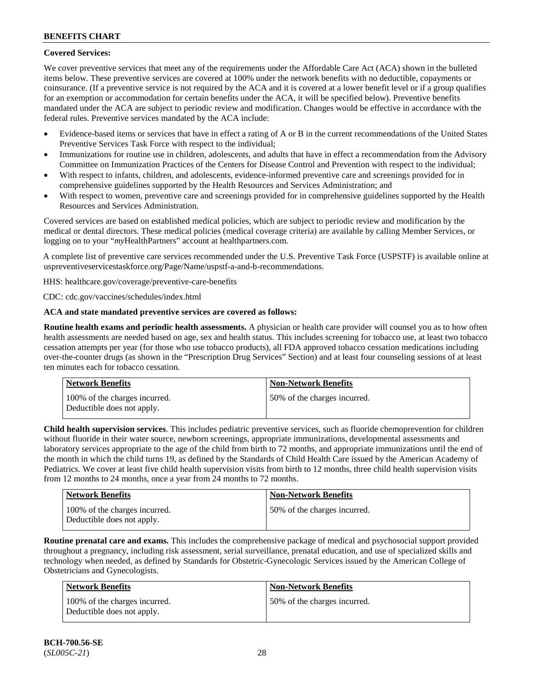## **Covered Services:**

We cover preventive services that meet any of the requirements under the Affordable Care Act (ACA) shown in the bulleted items below. These preventive services are covered at 100% under the network benefits with no deductible, copayments or coinsurance. (If a preventive service is not required by the ACA and it is covered at a lower benefit level or if a group qualifies for an exemption or accommodation for certain benefits under the ACA, it will be specified below). Preventive benefits mandated under the ACA are subject to periodic review and modification. Changes would be effective in accordance with the federal rules. Preventive services mandated by the ACA include:

- Evidence-based items or services that have in effect a rating of A or B in the current recommendations of the United States Preventive Services Task Force with respect to the individual;
- Immunizations for routine use in children, adolescents, and adults that have in effect a recommendation from the Advisory Committee on Immunization Practices of the Centers for Disease Control and Prevention with respect to the individual;
- With respect to infants, children, and adolescents, evidence-informed preventive care and screenings provided for in comprehensive guidelines supported by the Health Resources and Services Administration; and
- With respect to women, preventive care and screenings provided for in comprehensive guidelines supported by the Health Resources and Services Administration.

Covered services are based on established medical policies, which are subject to periodic review and modification by the medical or dental directors. These medical policies (medical coverage criteria) are available by calling Member Services, or logging on to your "*my*HealthPartners" account at [healthpartners.com.](http://www.healthpartners.com/)

A complete list of preventive care services recommended under the U.S. Preventive Task Force (USPSTF) is available online at [uspreventiveservicestaskforce.org/Page/Name/uspstf-a-and-b-recommendations.](https://www.uspreventiveservicestaskforce.org/Page/Name/uspstf-a-and-b-recommendations-by-date/)

HHS: [healthcare.gov/coverage/preventive-care-benefits](https://www.healthcare.gov/coverage/preventive-care-benefits/)

CDC: [cdc.gov/vaccines/schedules/index.html](https://www.cdc.gov/vaccines/schedules/index.html)

## **ACA and state mandated preventive services are covered as follows:**

**Routine health exams and periodic health assessments.** A physician or health care provider will counsel you as to how often health assessments are needed based on age, sex and health status. This includes screening for tobacco use, at least two tobacco cessation attempts per year (for those who use tobacco products), all FDA approved tobacco cessation medications including over-the-counter drugs (as shown in the "Prescription Drug Services" Section) and at least four counseling sessions of at least ten minutes each for tobacco cessation.

| Network Benefits                                            | <b>Non-Network Benefits</b>  |
|-------------------------------------------------------------|------------------------------|
| 100% of the charges incurred.<br>Deductible does not apply. | 50% of the charges incurred. |

**Child health supervision services**. This includes pediatric preventive services, such as fluoride chemoprevention for children without fluoride in their water source, newborn screenings, appropriate immunizations, developmental assessments and laboratory services appropriate to the age of the child from birth to 72 months, and appropriate immunizations until the end of the month in which the child turns 19, as defined by the Standards of Child Health Care issued by the American Academy of Pediatrics. We cover at least five child health supervision visits from birth to 12 months, three child health supervision visits from 12 months to 24 months, once a year from 24 months to 72 months.

| <b>Network Benefits</b>                                     | <b>Non-Network Benefits</b>  |
|-------------------------------------------------------------|------------------------------|
| 100% of the charges incurred.<br>Deductible does not apply. | 50% of the charges incurred. |

**Routine prenatal care and exams.** This includes the comprehensive package of medical and psychosocial support provided throughout a pregnancy, including risk assessment, serial surveillance, prenatal education, and use of specialized skills and technology when needed, as defined by Standards for Obstetric-Gynecologic Services issued by the American College of Obstetricians and Gynecologists.

| Network Benefits                                            | <b>Non-Network Benefits</b>  |
|-------------------------------------------------------------|------------------------------|
| 100% of the charges incurred.<br>Deductible does not apply. | 50% of the charges incurred. |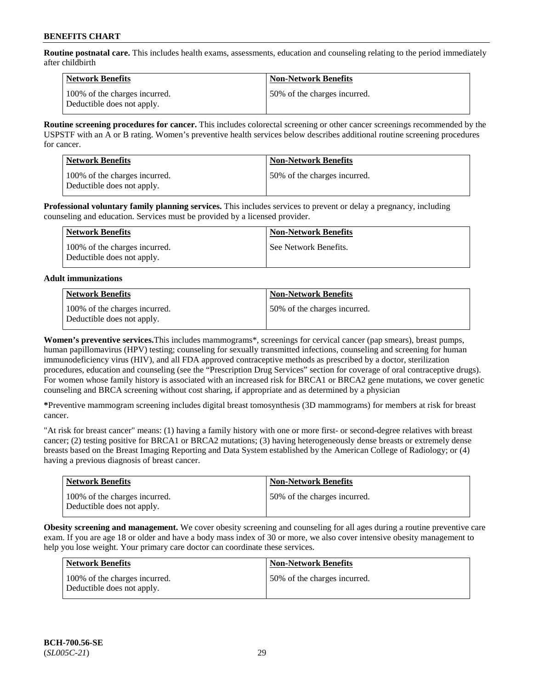**Routine postnatal care.** This includes health exams, assessments, education and counseling relating to the period immediately after childbirth

| Network Benefits                                            | <b>Non-Network Benefits</b>  |
|-------------------------------------------------------------|------------------------------|
| 100% of the charges incurred.<br>Deductible does not apply. | 50% of the charges incurred. |

**Routine screening procedures for cancer.** This includes colorectal screening or other cancer screenings recommended by the USPSTF with an A or B rating. Women's preventive health services below describes additional routine screening procedures for cancer.

| <b>Network Benefits</b>                                     | <b>Non-Network Benefits</b>  |
|-------------------------------------------------------------|------------------------------|
| 100% of the charges incurred.<br>Deductible does not apply. | 50% of the charges incurred. |

**Professional voluntary family planning services.** This includes services to prevent or delay a pregnancy, including counseling and education. Services must be provided by a licensed provider.

| Network Benefits                                            | <b>Non-Network Benefits</b> |
|-------------------------------------------------------------|-----------------------------|
| 100% of the charges incurred.<br>Deductible does not apply. | See Network Benefits.       |

## **Adult immunizations**

| <b>Network Benefits</b>                                     | <b>Non-Network Benefits</b>  |
|-------------------------------------------------------------|------------------------------|
| 100% of the charges incurred.<br>Deductible does not apply. | 50% of the charges incurred. |

**Women's preventive services.**This includes mammograms\*, screenings for cervical cancer (pap smears), breast pumps, human papillomavirus (HPV) testing; counseling for sexually transmitted infections, counseling and screening for human immunodeficiency virus (HIV), and all FDA approved contraceptive methods as prescribed by a doctor, sterilization procedures, education and counseling (see the "Prescription Drug Services" section for coverage of oral contraceptive drugs). For women whose family history is associated with an increased risk for BRCA1 or BRCA2 gene mutations, we cover genetic counseling and BRCA screening without cost sharing, if appropriate and as determined by a physician

**\***Preventive mammogram screening includes digital breast tomosynthesis (3D mammograms) for members at risk for breast cancer.

"At risk for breast cancer" means: (1) having a family history with one or more first- or second-degree relatives with breast cancer; (2) testing positive for BRCA1 or BRCA2 mutations; (3) having heterogeneously dense breasts or extremely dense breasts based on the Breast Imaging Reporting and Data System established by the American College of Radiology; or (4) having a previous diagnosis of breast cancer.

| <b>Network Benefits</b>                                     | <b>Non-Network Benefits</b>  |
|-------------------------------------------------------------|------------------------------|
| 100% of the charges incurred.<br>Deductible does not apply. | 50% of the charges incurred. |

**Obesity screening and management.** We cover obesity screening and counseling for all ages during a routine preventive care exam. If you are age 18 or older and have a body mass index of 30 or more, we also cover intensive obesity management to help you lose weight. Your primary care doctor can coordinate these services.

| Network Benefits                                            | <b>Non-Network Benefits</b>  |
|-------------------------------------------------------------|------------------------------|
| 100% of the charges incurred.<br>Deductible does not apply. | 50% of the charges incurred. |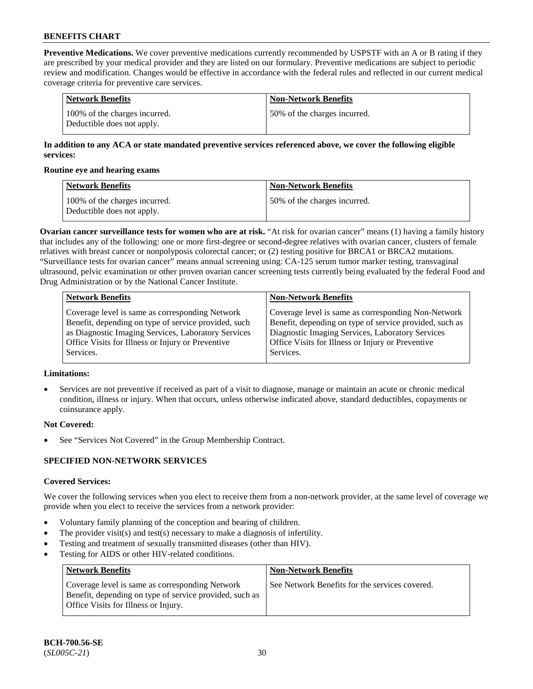**Preventive Medications.** We cover preventive medications currently recommended by USPSTF with an A or B rating if they are prescribed by your medical provider and they are listed on our formulary. Preventive medications are subject to periodic review and modification. Changes would be effective in accordance with the federal rules and reflected in our current medical coverage criteria for preventive care services.

| Network Benefits                                            | <b>Non-Network Benefits</b>  |
|-------------------------------------------------------------|------------------------------|
| 100% of the charges incurred.<br>Deductible does not apply. | 50% of the charges incurred. |

## **In addition to any ACA or state mandated preventive services referenced above, we cover the following eligible services:**

#### **Routine eye and hearing exams**

| <b>Network Benefits</b>                                     | <b>Non-Network Benefits</b>  |
|-------------------------------------------------------------|------------------------------|
| 100% of the charges incurred.<br>Deductible does not apply. | 50% of the charges incurred. |

**Ovarian cancer surveillance tests for women who are at risk.** "At risk for ovarian cancer" means (1) having a family history that includes any of the following: one or more first-degree or second-degree relatives with ovarian cancer, clusters of female relatives with breast cancer or nonpolyposis colorectal cancer; or (2) testing positive for BRCA1 or BRCA2 mutations. "Surveillance tests for ovarian cancer" means annual screening using: CA-125 serum tumor marker testing, transvaginal ultrasound, pelvic examination or other proven ovarian cancer screening tests currently being evaluated by the federal Food and Drug Administration or by the National Cancer Institute.

| <b>Network Benefits</b>                              | <b>Non-Network Benefits</b>                             |
|------------------------------------------------------|---------------------------------------------------------|
| Coverage level is same as corresponding Network      | Coverage level is same as corresponding Non-Network     |
| Benefit, depending on type of service provided, such | Benefit, depending on type of service provided, such as |
| as Diagnostic Imaging Services, Laboratory Services  | Diagnostic Imaging Services, Laboratory Services        |
| Office Visits for Illness or Injury or Preventive    | Office Visits for Illness or Injury or Preventive       |
| Services.                                            | Services.                                               |

## **Limitations:**

• Services are not preventive if received as part of a visit to diagnose, manage or maintain an acute or chronic medical condition, illness or injury. When that occurs, unless otherwise indicated above, standard deductibles, copayments or coinsurance apply.

## **Not Covered:**

See "Services Not Covered" in the Group Membership Contract.

## **SPECIFIED NON-NETWORK SERVICES**

## **Covered Services:**

We cover the following services when you elect to receive them from a non-network provider, at the same level of coverage we provide when you elect to receive the services from a network provider:

- Voluntary family planning of the conception and bearing of children.
- The provider visit(s) and test(s) necessary to make a diagnosis of infertility.
- Testing and treatment of sexually transmitted diseases (other than HIV).
- Testing for AIDS or other HIV-related conditions.

| <b>Network Benefits</b>                                                                                                                            | <b>Non-Network Benefits</b>                    |
|----------------------------------------------------------------------------------------------------------------------------------------------------|------------------------------------------------|
| Coverage level is same as corresponding Network<br>Benefit, depending on type of service provided, such as<br>Office Visits for Illness or Injury. | See Network Benefits for the services covered. |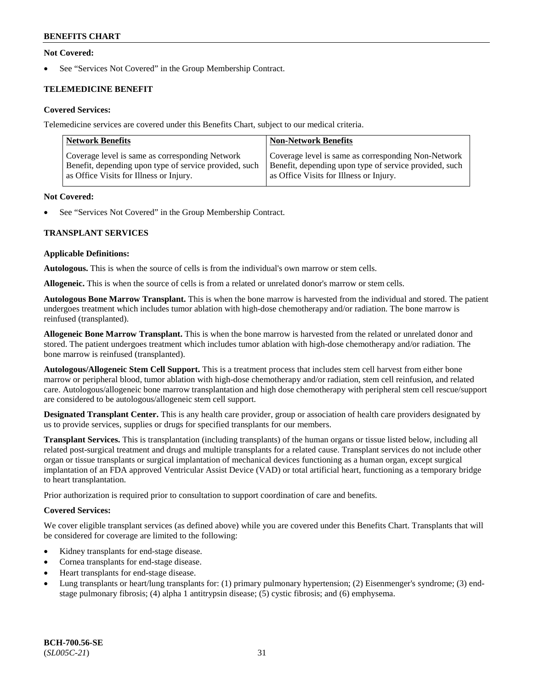## **Not Covered:**

See "Services Not Covered" in the Group Membership Contract.

## **TELEMEDICINE BENEFIT**

## **Covered Services:**

Telemedicine services are covered under this Benefits Chart, subject to our medical criteria.

| <b>Network Benefits</b>                                | <b>Non-Network Benefits</b>                            |
|--------------------------------------------------------|--------------------------------------------------------|
| Coverage level is same as corresponding Network        | Coverage level is same as corresponding Non-Network    |
| Benefit, depending upon type of service provided, such | Benefit, depending upon type of service provided, such |
| as Office Visits for Illness or Injury.                | as Office Visits for Illness or Injury.                |

#### **Not Covered:**

See "Services Not Covered" in the Group Membership Contract.

## **TRANSPLANT SERVICES**

#### **Applicable Definitions:**

**Autologous.** This is when the source of cells is from the individual's own marrow or stem cells.

**Allogeneic.** This is when the source of cells is from a related or unrelated donor's marrow or stem cells.

**Autologous Bone Marrow Transplant.** This is when the bone marrow is harvested from the individual and stored. The patient undergoes treatment which includes tumor ablation with high-dose chemotherapy and/or radiation. The bone marrow is reinfused (transplanted).

**Allogeneic Bone Marrow Transplant.** This is when the bone marrow is harvested from the related or unrelated donor and stored. The patient undergoes treatment which includes tumor ablation with high-dose chemotherapy and/or radiation. The bone marrow is reinfused (transplanted).

**Autologous/Allogeneic Stem Cell Support.** This is a treatment process that includes stem cell harvest from either bone marrow or peripheral blood, tumor ablation with high-dose chemotherapy and/or radiation, stem cell reinfusion, and related care. Autologous/allogeneic bone marrow transplantation and high dose chemotherapy with peripheral stem cell rescue/support are considered to be autologous/allogeneic stem cell support.

**Designated Transplant Center.** This is any health care provider, group or association of health care providers designated by us to provide services, supplies or drugs for specified transplants for our members.

**Transplant Services.** This is transplantation (including transplants) of the human organs or tissue listed below, including all related post-surgical treatment and drugs and multiple transplants for a related cause. Transplant services do not include other organ or tissue transplants or surgical implantation of mechanical devices functioning as a human organ, except surgical implantation of an FDA approved Ventricular Assist Device (VAD) or total artificial heart, functioning as a temporary bridge to heart transplantation.

Prior authorization is required prior to consultation to support coordination of care and benefits.

## **Covered Services:**

We cover eligible transplant services (as defined above) while you are covered under this Benefits Chart. Transplants that will be considered for coverage are limited to the following:

- Kidney transplants for end-stage disease.
- Cornea transplants for end-stage disease.
- Heart transplants for end-stage disease.
- Lung transplants or heart/lung transplants for: (1) primary pulmonary hypertension; (2) Eisenmenger's syndrome; (3) endstage pulmonary fibrosis; (4) alpha 1 antitrypsin disease; (5) cystic fibrosis; and (6) emphysema.